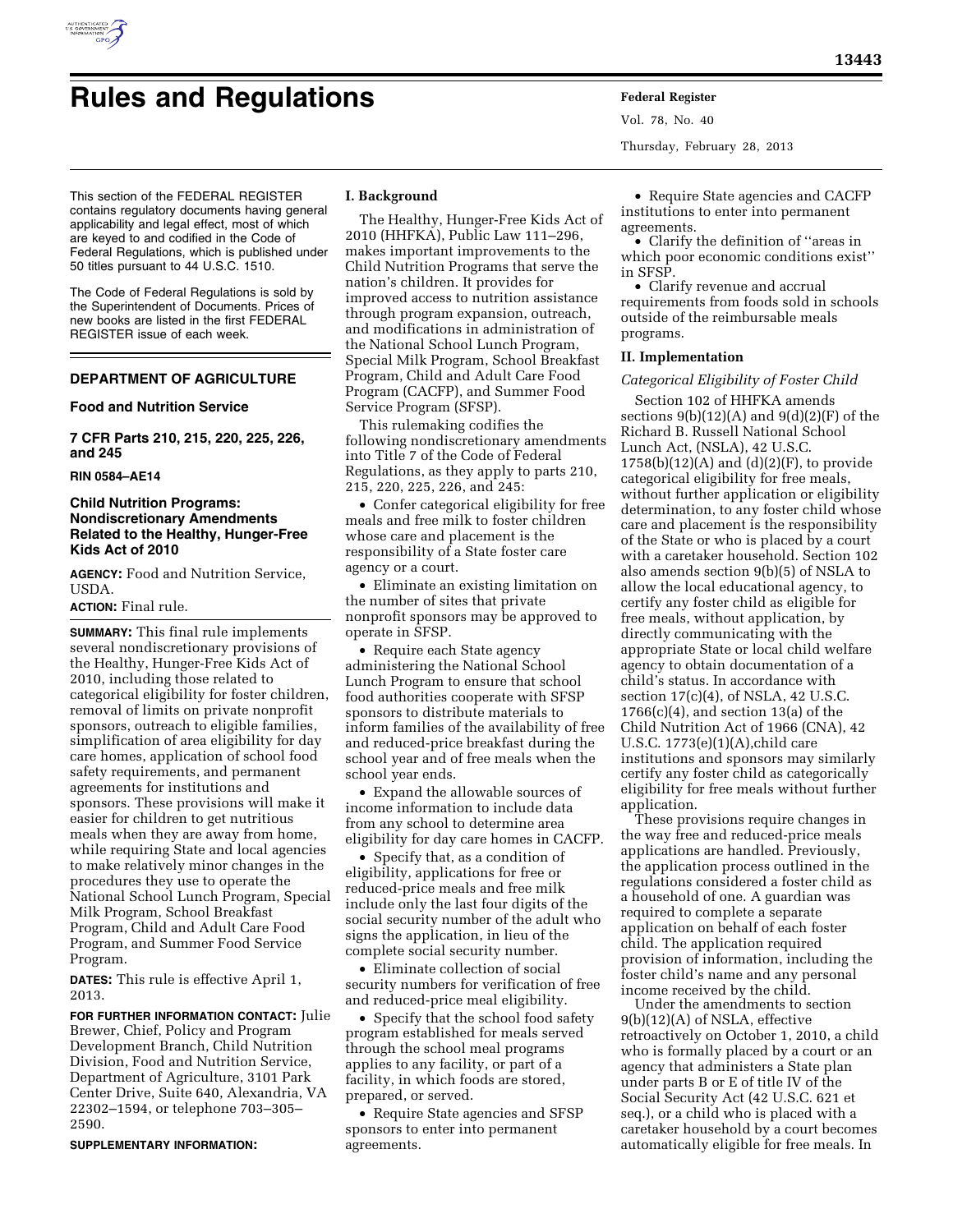

# **Rules and Regulations Federal Register**

This section of the FEDERAL REGISTER contains regulatory documents having general applicability and legal effect, most of which are keyed to and codified in the Code of Federal Regulations, which is published under 50 titles pursuant to 44 U.S.C. 1510.

The Code of Federal Regulations is sold by the Superintendent of Documents. Prices of new books are listed in the first FEDERAL REGISTER issue of each week.

# **DEPARTMENT OF AGRICULTURE**

## **Food and Nutrition Service**

**7 CFR Parts 210, 215, 220, 225, 226, and 245** 

## **RIN 0584–AE14**

# **Child Nutrition Programs: Nondiscretionary Amendments Related to the Healthy, Hunger-Free Kids Act of 2010**

**AGENCY:** Food and Nutrition Service, USDA.

# **ACTION:** Final rule.

**SUMMARY:** This final rule implements several nondiscretionary provisions of the Healthy, Hunger-Free Kids Act of 2010, including those related to categorical eligibility for foster children, removal of limits on private nonprofit sponsors, outreach to eligible families, simplification of area eligibility for day care homes, application of school food safety requirements, and permanent agreements for institutions and sponsors. These provisions will make it easier for children to get nutritious meals when they are away from home, while requiring State and local agencies to make relatively minor changes in the procedures they use to operate the National School Lunch Program, Special Milk Program, School Breakfast Program, Child and Adult Care Food Program, and Summer Food Service Program.

**DATES:** This rule is effective April 1, 2013.

**FOR FURTHER INFORMATION CONTACT:** Julie Brewer, Chief, Policy and Program Development Branch, Child Nutrition Division, Food and Nutrition Service, Department of Agriculture, 3101 Park Center Drive, Suite 640, Alexandria, VA 22302–1594, or telephone 703–305– 2590.

**SUPPLEMENTARY INFORMATION:** 

# **I. Background**

The Healthy, Hunger-Free Kids Act of 2010 (HHFKA), Public Law 111–296, makes important improvements to the Child Nutrition Programs that serve the nation's children. It provides for improved access to nutrition assistance through program expansion, outreach, and modifications in administration of the National School Lunch Program, Special Milk Program, School Breakfast Program, Child and Adult Care Food Program (CACFP), and Summer Food Service Program (SFSP).

This rulemaking codifies the following nondiscretionary amendments into Title 7 of the Code of Federal Regulations, as they apply to parts 210, 215, 220, 225, 226, and 245:

• Confer categorical eligibility for free meals and free milk to foster children whose care and placement is the responsibility of a State foster care agency or a court.

• Eliminate an existing limitation on the number of sites that private nonprofit sponsors may be approved to operate in SFSP.

• Require each State agency administering the National School Lunch Program to ensure that school food authorities cooperate with SFSP sponsors to distribute materials to inform families of the availability of free and reduced-price breakfast during the school year and of free meals when the school year ends.

• Expand the allowable sources of income information to include data from any school to determine area eligibility for day care homes in CACFP.

• Specify that, as a condition of eligibility, applications for free or reduced-price meals and free milk include only the last four digits of the social security number of the adult who signs the application, in lieu of the complete social security number.

• Eliminate collection of social security numbers for verification of free and reduced-price meal eligibility.

• Specify that the school food safety program established for meals served through the school meal programs applies to any facility, or part of a facility, in which foods are stored, prepared, or served.

• Require State agencies and SFSP sponsors to enter into permanent agreements.

Vol. 78, No. 40 Thursday, February 28, 2013

• Require State agencies and CACFP institutions to enter into permanent agreements.

• Clarify the definition of ''areas in which poor economic conditions exist'' in SFSP.

• Clarify revenue and accrual requirements from foods sold in schools outside of the reimbursable meals programs.

# **II. Implementation**

#### *Categorical Eligibility of Foster Child*

Section 102 of HHFKA amends sections  $9(b)(12)(A)$  and  $9(d)(2)(F)$  of the Richard B. Russell National School Lunch Act, (NSLA), 42 U.S.C.  $1758(b)(12)(A)$  and  $(d)(2)(F)$ , to provide categorical eligibility for free meals, without further application or eligibility determination, to any foster child whose care and placement is the responsibility of the State or who is placed by a court with a caretaker household. Section 102 also amends section 9(b)(5) of NSLA to allow the local educational agency, to certify any foster child as eligible for free meals, without application, by directly communicating with the appropriate State or local child welfare agency to obtain documentation of a child's status. In accordance with section 17(c)(4), of NSLA, 42 U.S.C.  $1766(c)(4)$ , and section  $13(a)$  of the Child Nutrition Act of 1966 (CNA), 42 U.S.C. 1773(e)(1)(A),child care institutions and sponsors may similarly certify any foster child as categorically eligibility for free meals without further application.

These provisions require changes in the way free and reduced-price meals applications are handled. Previously, the application process outlined in the regulations considered a foster child as a household of one. A guardian was required to complete a separate application on behalf of each foster child. The application required provision of information, including the foster child's name and any personal income received by the child.

Under the amendments to section 9(b)(12)(A) of NSLA, effective retroactively on October 1, 2010, a child who is formally placed by a court or an agency that administers a State plan under parts B or E of title IV of the Social Security Act (42 U.S.C. 621 et seq.), or a child who is placed with a caretaker household by a court becomes automatically eligible for free meals. In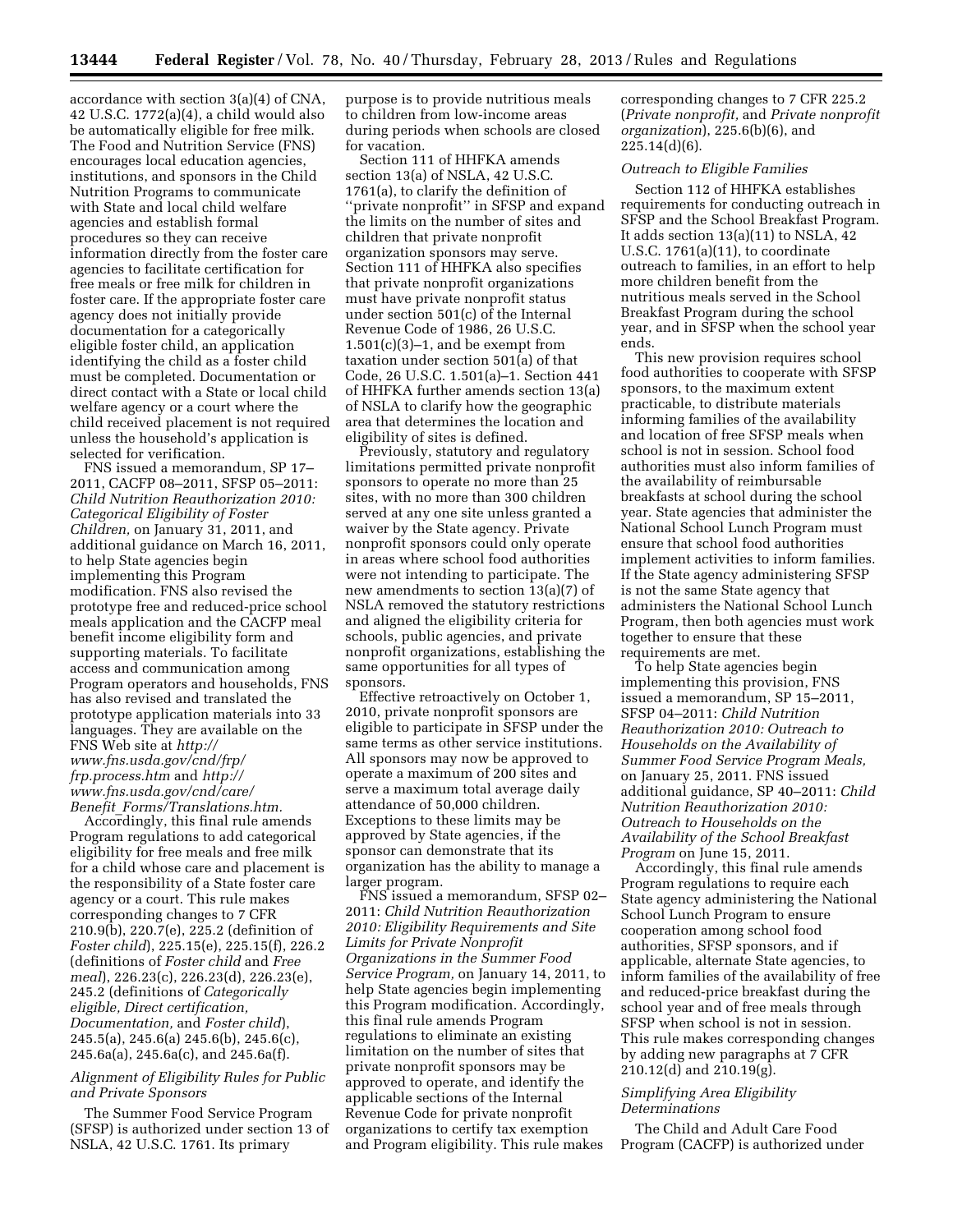accordance with section 3(a)(4) of CNA, 42 U.S.C. 1772(a)(4), a child would also be automatically eligible for free milk. The Food and Nutrition Service (FNS) encourages local education agencies, institutions, and sponsors in the Child Nutrition Programs to communicate with State and local child welfare agencies and establish formal procedures so they can receive information directly from the foster care agencies to facilitate certification for free meals or free milk for children in foster care. If the appropriate foster care agency does not initially provide documentation for a categorically eligible foster child, an application identifying the child as a foster child must be completed. Documentation or direct contact with a State or local child welfare agency or a court where the child received placement is not required unless the household's application is selected for verification.

FNS issued a memorandum, SP 17– 2011, CACFP 08–2011, SFSP 05–2011: *Child Nutrition Reauthorization 2010: Categorical Eligibility of Foster Children,* on January 31, 2011, and additional guidance on March 16, 2011, to help State agencies begin implementing this Program modification. FNS also revised the prototype free and reduced-price school meals application and the CACFP meal benefit income eligibility form and supporting materials. To facilitate access and communication among Program operators and households, FNS has also revised and translated the prototype application materials into 33 languages. They are available on the FNS Web site at *[http://](http://www.fns.usda.gov/cnd/frp/frp.process.htm)  [www.fns.usda.gov/cnd/frp/](http://www.fns.usda.gov/cnd/frp/frp.process.htm)  [frp.process.htm](http://www.fns.usda.gov/cnd/frp/frp.process.htm)* and *[http://](http://www.fns.usda.gov/cnd/care/Benefit_Forms/Translations.htm) [www.fns.usda.gov/cnd/care/](http://www.fns.usda.gov/cnd/care/Benefit_Forms/Translations.htm) Benefit*\_*[Forms/Translations.htm.](http://www.fns.usda.gov/cnd/care/Benefit_Forms/Translations.htm)* 

Accordingly, this final rule amends Program regulations to add categorical eligibility for free meals and free milk for a child whose care and placement is the responsibility of a State foster care agency or a court. This rule makes corresponding changes to 7 CFR 210.9(b), 220.7(e), 225.2 (definition of *Foster child*), 225.15(e), 225.15(f), 226.2 (definitions of *Foster child* and *Free meal*), 226.23(c), 226.23(d), 226.23(e), 245.2 (definitions of *Categorically eligible, Direct certification, Documentation,* and *Foster child*), 245.5(a), 245.6(a) 245.6(b), 245.6(c), 245.6a(a), 245.6a(c), and 245.6a(f).

# *Alignment of Eligibility Rules for Public and Private Sponsors*

The Summer Food Service Program (SFSP) is authorized under section 13 of NSLA, 42 U.S.C. 1761. Its primary

purpose is to provide nutritious meals to children from low-income areas during periods when schools are closed for vacation.

Section 111 of HHFKA amends section 13(a) of NSLA, 42 U.S.C. 1761(a), to clarify the definition of ''private nonprofit'' in SFSP and expand the limits on the number of sites and children that private nonprofit organization sponsors may serve. Section 111 of HHFKA also specifies that private nonprofit organizations must have private nonprofit status under section 501(c) of the Internal Revenue Code of 1986, 26 U.S.C.  $1.501(c)(3)-1$ , and be exempt from taxation under section 501(a) of that Code, 26 U.S.C. 1.501(a)–1. Section 441 of HHFKA further amends section 13(a) of NSLA to clarify how the geographic area that determines the location and eligibility of sites is defined.

Previously, statutory and regulatory limitations permitted private nonprofit sponsors to operate no more than 25 sites, with no more than 300 children served at any one site unless granted a waiver by the State agency. Private nonprofit sponsors could only operate in areas where school food authorities were not intending to participate. The new amendments to section 13(a)(7) of NSLA removed the statutory restrictions and aligned the eligibility criteria for schools, public agencies, and private nonprofit organizations, establishing the same opportunities for all types of sponsors.

Effective retroactively on October 1, 2010, private nonprofit sponsors are eligible to participate in SFSP under the same terms as other service institutions. All sponsors may now be approved to operate a maximum of 200 sites and serve a maximum total average daily attendance of 50,000 children. Exceptions to these limits may be approved by State agencies, if the sponsor can demonstrate that its organization has the ability to manage a larger program.

FNS issued a memorandum, SFSP 02– 2011: *Child Nutrition Reauthorization 2010: Eligibility Requirements and Site Limits for Private Nonprofit Organizations in the Summer Food Service Program,* on January 14, 2011, to help State agencies begin implementing this Program modification. Accordingly, this final rule amends Program regulations to eliminate an existing limitation on the number of sites that private nonprofit sponsors may be approved to operate, and identify the applicable sections of the Internal Revenue Code for private nonprofit organizations to certify tax exemption and Program eligibility. This rule makes

corresponding changes to 7 CFR 225.2 (*Private nonprofit,* and *Private nonprofit organization*), 225.6(b)(6), and 225.14(d)(6).

# *Outreach to Eligible Families*

Section 112 of HHFKA establishes requirements for conducting outreach in SFSP and the School Breakfast Program. It adds section 13(a)(11) to NSLA, 42 U.S.C. 1761(a)(11), to coordinate outreach to families, in an effort to help more children benefit from the nutritious meals served in the School Breakfast Program during the school year, and in SFSP when the school year ends.

This new provision requires school food authorities to cooperate with SFSP sponsors, to the maximum extent practicable, to distribute materials informing families of the availability and location of free SFSP meals when school is not in session. School food authorities must also inform families of the availability of reimbursable breakfasts at school during the school year. State agencies that administer the National School Lunch Program must ensure that school food authorities implement activities to inform families. If the State agency administering SFSP is not the same State agency that administers the National School Lunch Program, then both agencies must work together to ensure that these requirements are met.

To help State agencies begin implementing this provision, FNS issued a memorandum, SP 15–2011, SFSP 04–2011: *Child Nutrition Reauthorization 2010: Outreach to Households on the Availability of Summer Food Service Program Meals,*  on January 25, 2011. FNS issued additional guidance, SP 40–2011: *Child Nutrition Reauthorization 2010: Outreach to Households on the Availability of the School Breakfast Program* on June 15, 2011.

Accordingly, this final rule amends Program regulations to require each State agency administering the National School Lunch Program to ensure cooperation among school food authorities, SFSP sponsors, and if applicable, alternate State agencies, to inform families of the availability of free and reduced-price breakfast during the school year and of free meals through SFSP when school is not in session. This rule makes corresponding changes by adding new paragraphs at 7 CFR 210.12(d) and 210.19(g).

## *Simplifying Area Eligibility Determinations*

The Child and Adult Care Food Program (CACFP) is authorized under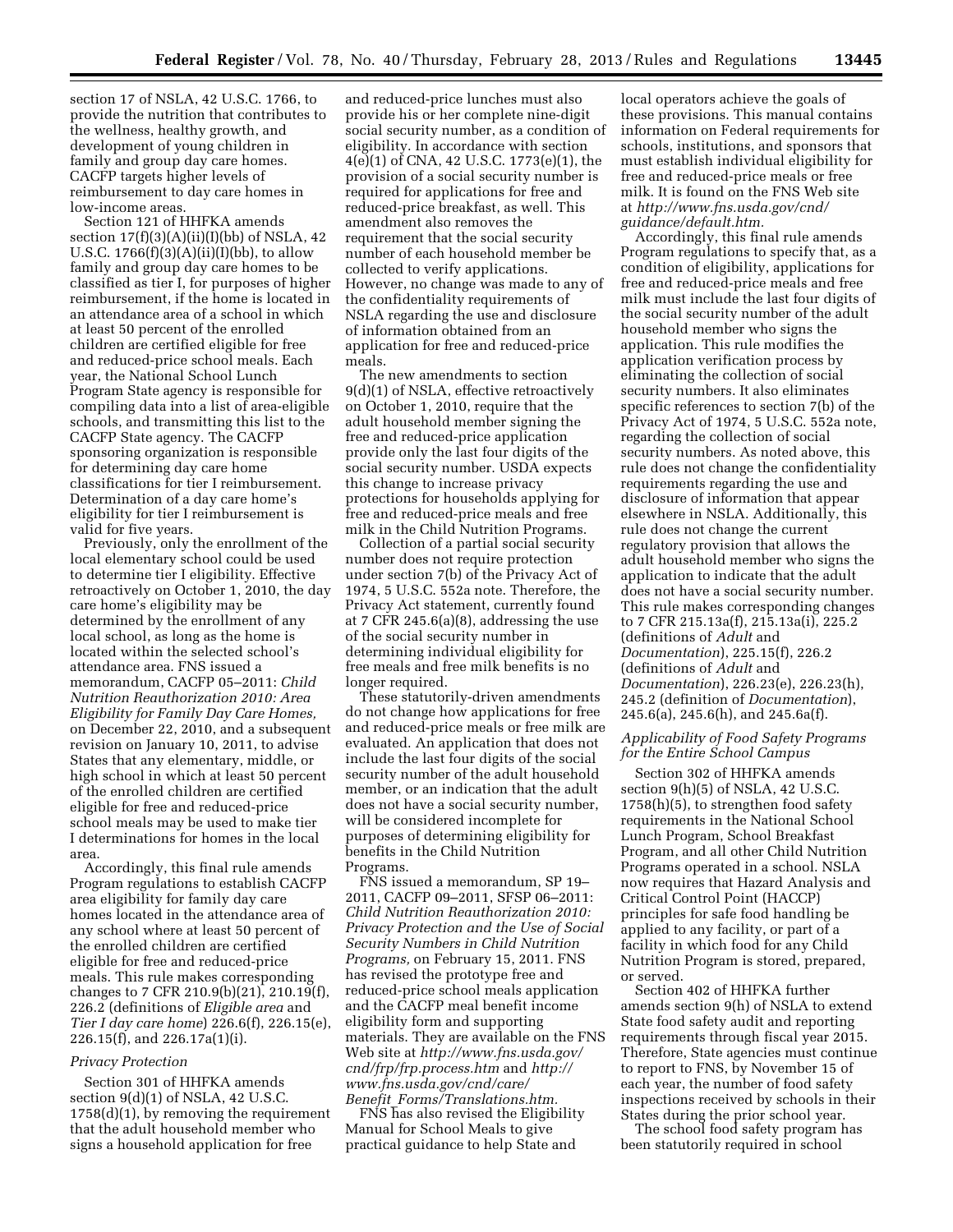section 17 of NSLA, 42 U.S.C. 1766, to provide the nutrition that contributes to the wellness, healthy growth, and development of young children in family and group day care homes. CACFP targets higher levels of reimbursement to day care homes in low-income areas.

Section 121 of HHFKA amends section  $17(f)(3)(A)(ii)(I)(bb)$  of NSLA, 42 U.S.C.  $1766(f)(3)(A)(ii)(I)(bb)$ , to allow family and group day care homes to be classified as tier I, for purposes of higher reimbursement, if the home is located in an attendance area of a school in which at least 50 percent of the enrolled children are certified eligible for free and reduced-price school meals. Each year, the National School Lunch Program State agency is responsible for compiling data into a list of area-eligible schools, and transmitting this list to the CACFP State agency. The CACFP sponsoring organization is responsible for determining day care home classifications for tier I reimbursement. Determination of a day care home's eligibility for tier I reimbursement is valid for five years.

Previously, only the enrollment of the local elementary school could be used to determine tier I eligibility. Effective retroactively on October 1, 2010, the day care home's eligibility may be determined by the enrollment of any local school, as long as the home is located within the selected school's attendance area. FNS issued a memorandum, CACFP 05–2011: *Child Nutrition Reauthorization 2010: Area Eligibility for Family Day Care Homes,*  on December 22, 2010, and a subsequent revision on January 10, 2011, to advise States that any elementary, middle, or high school in which at least 50 percent of the enrolled children are certified eligible for free and reduced-price school meals may be used to make tier I determinations for homes in the local area.

Accordingly, this final rule amends Program regulations to establish CACFP area eligibility for family day care homes located in the attendance area of any school where at least 50 percent of the enrolled children are certified eligible for free and reduced-price meals. This rule makes corresponding changes to 7 CFR 210.9(b)(21), 210.19(f), 226.2 (definitions of *Eligible area* and *Tier I day care home*) 226.6(f), 226.15(e), 226.15(f), and 226.17a(1)(i).

# *Privacy Protection*

Section 301 of HHFKA amends section 9(d)(1) of NSLA, 42 U.S.C. 1758(d)(1), by removing the requirement that the adult household member who signs a household application for free

and reduced-price lunches must also provide his or her complete nine-digit social security number, as a condition of eligibility. In accordance with section 4(e)(1) of CNA, 42 U.S.C. 1773(e)(1), the provision of a social security number is required for applications for free and reduced-price breakfast, as well. This amendment also removes the requirement that the social security number of each household member be collected to verify applications. However, no change was made to any of the confidentiality requirements of NSLA regarding the use and disclosure of information obtained from an application for free and reduced-price meals.

The new amendments to section 9(d)(1) of NSLA, effective retroactively on October 1, 2010, require that the adult household member signing the free and reduced-price application provide only the last four digits of the social security number. USDA expects this change to increase privacy protections for households applying for free and reduced-price meals and free milk in the Child Nutrition Programs.

Collection of a partial social security number does not require protection under section 7(b) of the Privacy Act of 1974, 5 U.S.C. 552a note. Therefore, the Privacy Act statement, currently found at 7 CFR 245.6(a)(8), addressing the use of the social security number in determining individual eligibility for free meals and free milk benefits is no longer required.

These statutorily-driven amendments do not change how applications for free and reduced-price meals or free milk are evaluated. An application that does not include the last four digits of the social security number of the adult household member, or an indication that the adult does not have a social security number, will be considered incomplete for purposes of determining eligibility for benefits in the Child Nutrition Programs.

FNS issued a memorandum, SP 19– 2011, CACFP 09–2011, SFSP 06–2011: *Child Nutrition Reauthorization 2010: Privacy Protection and the Use of Social Security Numbers in Child Nutrition Programs,* on February 15, 2011. FNS has revised the prototype free and reduced-price school meals application and the CACFP meal benefit income eligibility form and supporting materials. They are available on the FNS Web site at *[http://www.fns.usda.gov/](http://www.fns.usda.gov/cnd/frp/frp.process.htm)  [cnd/frp/frp.process.htm](http://www.fns.usda.gov/cnd/frp/frp.process.htm)* and *[http://](http://www.fns.usda.gov/cnd/care/Benefit_Forms/Translations.htm)  [www.fns.usda.gov/cnd/care/](http://www.fns.usda.gov/cnd/care/Benefit_Forms/Translations.htm) Benefit*\_*[Forms/Translations.htm.](http://www.fns.usda.gov/cnd/care/Benefit_Forms/Translations.htm)* 

FNS has also revised the Eligibility Manual for School Meals to give practical guidance to help State and

local operators achieve the goals of these provisions. This manual contains information on Federal requirements for schools, institutions, and sponsors that must establish individual eligibility for free and reduced-price meals or free milk. It is found on the FNS Web site at *[http://www.fns.usda.gov/cnd/](http://www.fns.usda.gov/cnd/guidance/default.htm)  [guidance/default.htm.](http://www.fns.usda.gov/cnd/guidance/default.htm)* 

Accordingly, this final rule amends Program regulations to specify that, as a condition of eligibility, applications for free and reduced-price meals and free milk must include the last four digits of the social security number of the adult household member who signs the application. This rule modifies the application verification process by eliminating the collection of social security numbers. It also eliminates specific references to section 7(b) of the Privacy Act of 1974, 5 U.S.C. 552a note, regarding the collection of social security numbers. As noted above, this rule does not change the confidentiality requirements regarding the use and disclosure of information that appear elsewhere in NSLA. Additionally, this rule does not change the current regulatory provision that allows the adult household member who signs the application to indicate that the adult does not have a social security number. This rule makes corresponding changes to 7 CFR 215.13a(f), 215.13a(i), 225.2 (definitions of *Adult* and *Documentation*), 225.15(f), 226.2 (definitions of *Adult* and *Documentation*), 226.23(e), 226.23(h), 245.2 (definition of *Documentation*), 245.6(a), 245.6(h), and 245.6a(f).

# *Applicability of Food Safety Programs for the Entire School Campus*

Section 302 of HHFKA amends section 9(h)(5) of NSLA, 42 U.S.C. 1758(h)(5), to strengthen food safety requirements in the National School Lunch Program, School Breakfast Program, and all other Child Nutrition Programs operated in a school. NSLA now requires that Hazard Analysis and Critical Control Point (HACCP) principles for safe food handling be applied to any facility, or part of a facility in which food for any Child Nutrition Program is stored, prepared, or served.

Section 402 of HHFKA further amends section 9(h) of NSLA to extend State food safety audit and reporting requirements through fiscal year 2015. Therefore, State agencies must continue to report to FNS, by November 15 of each year, the number of food safety inspections received by schools in their States during the prior school year.

The school food safety program has been statutorily required in school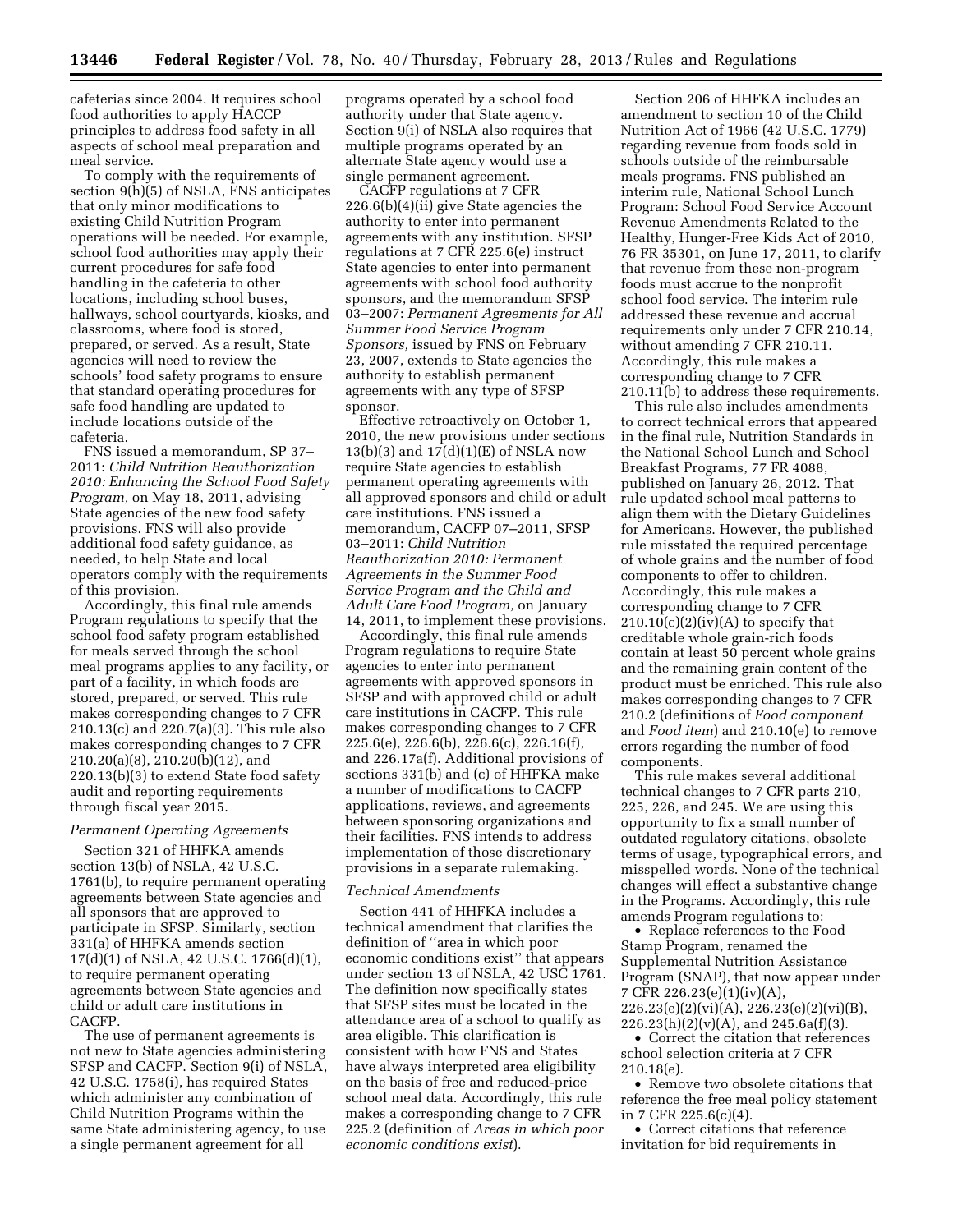cafeterias since 2004. It requires school food authorities to apply HACCP principles to address food safety in all aspects of school meal preparation and meal service.

To comply with the requirements of section 9(h)(5) of NSLA, FNS anticipates that only minor modifications to existing Child Nutrition Program operations will be needed. For example, school food authorities may apply their current procedures for safe food handling in the cafeteria to other locations, including school buses, hallways, school courtyards, kiosks, and classrooms, where food is stored, prepared, or served. As a result, State agencies will need to review the schools' food safety programs to ensure that standard operating procedures for safe food handling are updated to include locations outside of the cafeteria.

FNS issued a memorandum, SP 37– 2011: *Child Nutrition Reauthorization 2010: Enhancing the School Food Safety Program,* on May 18, 2011, advising State agencies of the new food safety provisions. FNS will also provide additional food safety guidance, as needed, to help State and local operators comply with the requirements of this provision.

Accordingly, this final rule amends Program regulations to specify that the school food safety program established for meals served through the school meal programs applies to any facility, or part of a facility, in which foods are stored, prepared, or served. This rule makes corresponding changes to 7 CFR 210.13(c) and 220.7(a)(3). This rule also makes corresponding changes to 7 CFR 210.20(a)(8), 210.20(b)(12), and 220.13(b)(3) to extend State food safety audit and reporting requirements through fiscal year 2015.

# *Permanent Operating Agreements*

Section 321 of HHFKA amends section 13(b) of NSLA, 42 U.S.C. 1761(b), to require permanent operating agreements between State agencies and all sponsors that are approved to participate in SFSP. Similarly, section 331(a) of HHFKA amends section 17(d)(1) of NSLA, 42 U.S.C. 1766(d)(1), to require permanent operating agreements between State agencies and child or adult care institutions in CACFP.

The use of permanent agreements is not new to State agencies administering SFSP and CACFP. Section 9(i) of NSLA, 42 U.S.C. 1758(i), has required States which administer any combination of Child Nutrition Programs within the same State administering agency, to use a single permanent agreement for all

programs operated by a school food authority under that State agency. Section 9(i) of NSLA also requires that multiple programs operated by an alternate State agency would use a single permanent agreement.

CACFP regulations at 7 CFR 226.6(b)(4)(ii) give State agencies the authority to enter into permanent agreements with any institution. SFSP regulations at 7 CFR 225.6(e) instruct State agencies to enter into permanent agreements with school food authority sponsors, and the memorandum SFSP 03–2007: *Permanent Agreements for All Summer Food Service Program Sponsors,* issued by FNS on February 23, 2007, extends to State agencies the authority to establish permanent agreements with any type of SFSP sponsor.

Effective retroactively on October 1, 2010, the new provisions under sections  $13(b)(3)$  and  $17(d)(1)(E)$  of NSLA now require State agencies to establish permanent operating agreements with all approved sponsors and child or adult care institutions. FNS issued a memorandum, CACFP 07–2011, SFSP 03–2011: *Child Nutrition Reauthorization 2010: Permanent Agreements in the Summer Food Service Program and the Child and Adult Care Food Program,* on January 14, 2011, to implement these provisions.

Accordingly, this final rule amends Program regulations to require State agencies to enter into permanent agreements with approved sponsors in SFSP and with approved child or adult care institutions in CACFP. This rule makes corresponding changes to 7 CFR 225.6(e), 226.6(b), 226.6(c), 226.16(f), and 226.17a(f). Additional provisions of sections 331(b) and (c) of HHFKA make a number of modifications to CACFP applications, reviews, and agreements between sponsoring organizations and their facilities. FNS intends to address implementation of those discretionary provisions in a separate rulemaking.

## *Technical Amendments*

Section 441 of HHFKA includes a technical amendment that clarifies the definition of ''area in which poor economic conditions exist'' that appears under section 13 of NSLA, 42 USC 1761. The definition now specifically states that SFSP sites must be located in the attendance area of a school to qualify as area eligible. This clarification is consistent with how FNS and States have always interpreted area eligibility on the basis of free and reduced-price school meal data. Accordingly, this rule makes a corresponding change to 7 CFR 225.2 (definition of *Areas in which poor economic conditions exist*).

Section 206 of HHFKA includes an amendment to section 10 of the Child Nutrition Act of 1966 (42 U.S.C. 1779) regarding revenue from foods sold in schools outside of the reimbursable meals programs. FNS published an interim rule, National School Lunch Program: School Food Service Account Revenue Amendments Related to the Healthy, Hunger-Free Kids Act of 2010, 76 FR 35301, on June 17, 2011, to clarify that revenue from these non-program foods must accrue to the nonprofit school food service. The interim rule addressed these revenue and accrual requirements only under 7 CFR 210.14, without amending 7 CFR 210.11. Accordingly, this rule makes a corresponding change to 7 CFR 210.11(b) to address these requirements.

This rule also includes amendments to correct technical errors that appeared in the final rule, Nutrition Standards in the National School Lunch and School Breakfast Programs, 77 FR 4088, published on January 26, 2012. That rule updated school meal patterns to align them with the Dietary Guidelines for Americans. However, the published rule misstated the required percentage of whole grains and the number of food components to offer to children. Accordingly, this rule makes a corresponding change to 7 CFR  $210.10(c)(2)(iv)(A)$  to specify that creditable whole grain-rich foods contain at least 50 percent whole grains and the remaining grain content of the product must be enriched. This rule also makes corresponding changes to 7 CFR 210.2 (definitions of *Food component*  and *Food item*) and 210.10(e) to remove errors regarding the number of food components.

This rule makes several additional technical changes to 7 CFR parts 210, 225, 226, and 245. We are using this opportunity to fix a small number of outdated regulatory citations, obsolete terms of usage, typographical errors, and misspelled words. None of the technical changes will effect a substantive change in the Programs. Accordingly, this rule amends Program regulations to:

• Replace references to the Food Stamp Program, renamed the Supplemental Nutrition Assistance Program (SNAP), that now appear under 7 CFR 226.23(e)(1)(iv)(A), 226.23(e)(2)(vi)(A), 226.23(e)(2)(vi)(B),  $226.23(h)(2)(v)(A)$ , and  $245.6a(f)(3)$ .

• Correct the citation that references school selection criteria at 7 CFR 210.18(e).

• Remove two obsolete citations that reference the free meal policy statement in 7 CFR 225.6(c)(4).

• Correct citations that reference invitation for bid requirements in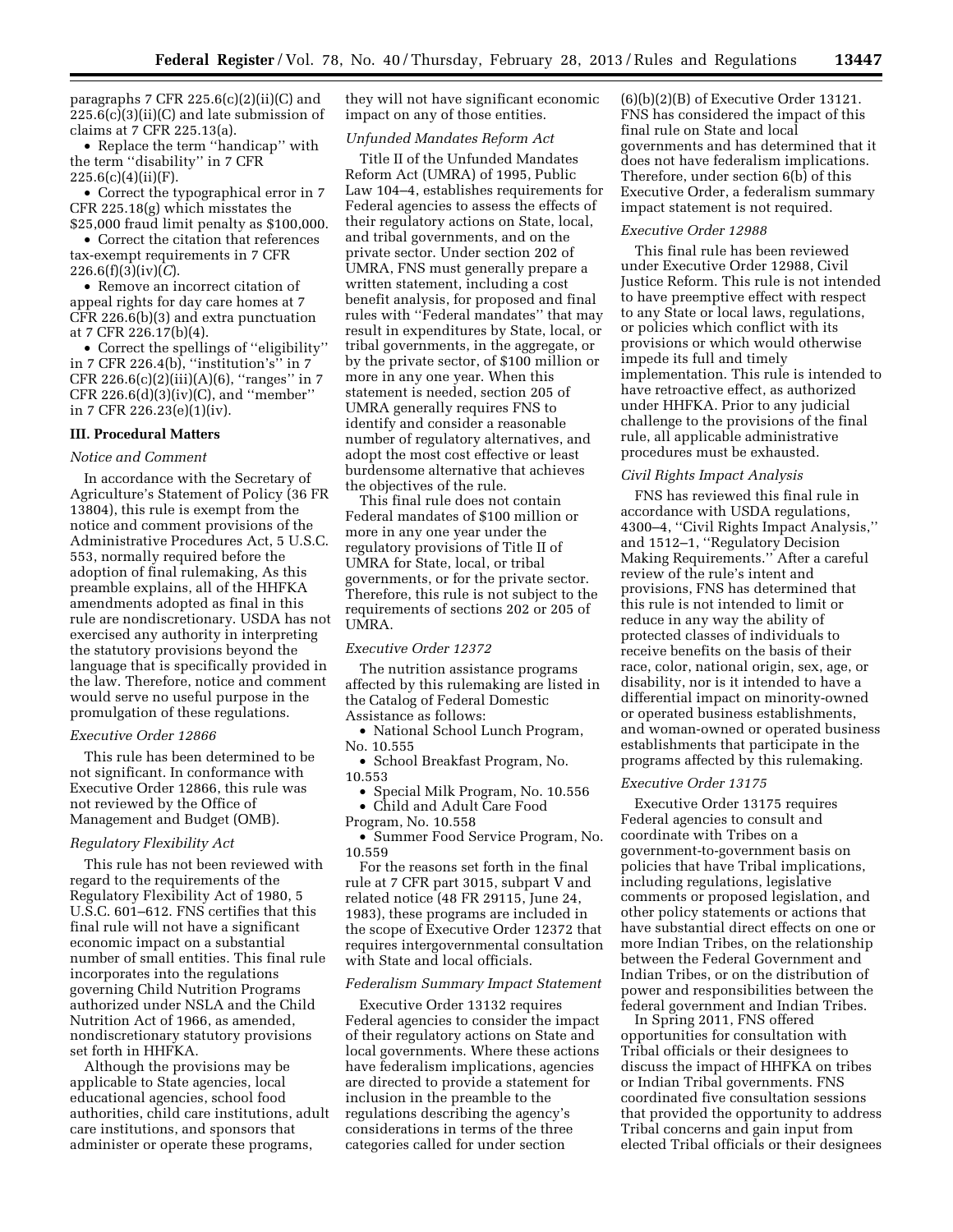paragraphs 7 CFR  $225.6(c)(2)(ii)(C)$  and  $225.6(c)(3)(ii)(C)$  and late submission of claims at 7 CFR 225.13(a).

• Replace the term ''handicap'' with the term ''disability'' in 7 CFR  $225.6(c)(4)(ii)(F).$ 

• Correct the typographical error in 7 CFR 225.18(g) which misstates the \$25,000 fraud limit penalty as \$100,000.

• Correct the citation that references tax-exempt requirements in 7 CFR 226.6(f)(3)(iv)(*C*).

• Remove an incorrect citation of appeal rights for day care homes at 7 CFR 226.6(b)(3) and extra punctuation at 7 CFR 226.17(b)(4).

• Correct the spellings of ''eligibility'' in 7 CFR 226.4(b), ''institution's'' in 7 CFR 226.6(c)(2)(iii)(A)(6), "ranges" in 7 CFR 226.6(d)(3)(iv)(C), and ''member'' in 7 CFR 226.23(e)(1)(iv).

## **III. Procedural Matters**

#### *Notice and Comment*

In accordance with the Secretary of Agriculture's Statement of Policy (36 FR 13804), this rule is exempt from the notice and comment provisions of the Administrative Procedures Act, 5 U.S.C. 553, normally required before the adoption of final rulemaking, As this preamble explains, all of the HHFKA amendments adopted as final in this rule are nondiscretionary. USDA has not exercised any authority in interpreting the statutory provisions beyond the language that is specifically provided in the law. Therefore, notice and comment would serve no useful purpose in the promulgation of these regulations.

# *Executive Order 12866*

This rule has been determined to be not significant. In conformance with Executive Order 12866, this rule was not reviewed by the Office of Management and Budget (OMB).

## *Regulatory Flexibility Act*

This rule has not been reviewed with regard to the requirements of the Regulatory Flexibility Act of 1980, 5 U.S.C. 601–612. FNS certifies that this final rule will not have a significant economic impact on a substantial number of small entities. This final rule incorporates into the regulations governing Child Nutrition Programs authorized under NSLA and the Child Nutrition Act of 1966, as amended, nondiscretionary statutory provisions set forth in HHFKA.

Although the provisions may be applicable to State agencies, local educational agencies, school food authorities, child care institutions, adult care institutions, and sponsors that administer or operate these programs,

they will not have significant economic impact on any of those entities.

## *Unfunded Mandates Reform Act*

Title II of the Unfunded Mandates Reform Act (UMRA) of 1995, Public Law 104–4, establishes requirements for Federal agencies to assess the effects of their regulatory actions on State, local, and tribal governments, and on the private sector. Under section 202 of UMRA, FNS must generally prepare a written statement, including a cost benefit analysis, for proposed and final rules with ''Federal mandates'' that may result in expenditures by State, local, or tribal governments, in the aggregate, or by the private sector, of \$100 million or more in any one year. When this statement is needed, section 205 of UMRA generally requires FNS to identify and consider a reasonable number of regulatory alternatives, and adopt the most cost effective or least burdensome alternative that achieves the objectives of the rule.

This final rule does not contain Federal mandates of \$100 million or more in any one year under the regulatory provisions of Title II of UMRA for State, local, or tribal governments, or for the private sector. Therefore, this rule is not subject to the requirements of sections 202 or 205 of UMRA.

## *Executive Order 12372*

The nutrition assistance programs affected by this rulemaking are listed in the Catalog of Federal Domestic Assistance as follows:

• National School Lunch Program, No. 10.555

• School Breakfast Program, No. 10.553

• Special Milk Program, No. 10.556

• Child and Adult Care Food

Program, No. 10.558

• Summer Food Service Program, No. 10.559

For the reasons set forth in the final rule at 7 CFR part 3015, subpart V and related notice (48 FR 29115, June 24, 1983), these programs are included in the scope of Executive Order 12372 that requires intergovernmental consultation with State and local officials.

#### *Federalism Summary Impact Statement*

Executive Order 13132 requires Federal agencies to consider the impact of their regulatory actions on State and local governments. Where these actions have federalism implications, agencies are directed to provide a statement for inclusion in the preamble to the regulations describing the agency's considerations in terms of the three categories called for under section

(6)(b)(2)(B) of Executive Order 13121. FNS has considered the impact of this final rule on State and local governments and has determined that it does not have federalism implications. Therefore, under section 6(b) of this Executive Order, a federalism summary impact statement is not required.

#### *Executive Order 12988*

This final rule has been reviewed under Executive Order 12988, Civil Justice Reform. This rule is not intended to have preemptive effect with respect to any State or local laws, regulations, or policies which conflict with its provisions or which would otherwise impede its full and timely implementation. This rule is intended to have retroactive effect, as authorized under HHFKA. Prior to any judicial challenge to the provisions of the final rule, all applicable administrative procedures must be exhausted.

#### *Civil Rights Impact Analysis*

FNS has reviewed this final rule in accordance with USDA regulations, 4300–4, ''Civil Rights Impact Analysis,'' and 1512–1, ''Regulatory Decision Making Requirements.'' After a careful review of the rule's intent and provisions, FNS has determined that this rule is not intended to limit or reduce in any way the ability of protected classes of individuals to receive benefits on the basis of their race, color, national origin, sex, age, or disability, nor is it intended to have a differential impact on minority-owned or operated business establishments, and woman-owned or operated business establishments that participate in the programs affected by this rulemaking.

#### *Executive Order 13175*

Executive Order 13175 requires Federal agencies to consult and coordinate with Tribes on a government-to-government basis on policies that have Tribal implications, including regulations, legislative comments or proposed legislation, and other policy statements or actions that have substantial direct effects on one or more Indian Tribes, on the relationship between the Federal Government and Indian Tribes, or on the distribution of power and responsibilities between the federal government and Indian Tribes.

In Spring 2011, FNS offered opportunities for consultation with Tribal officials or their designees to discuss the impact of HHFKA on tribes or Indian Tribal governments. FNS coordinated five consultation sessions that provided the opportunity to address Tribal concerns and gain input from elected Tribal officials or their designees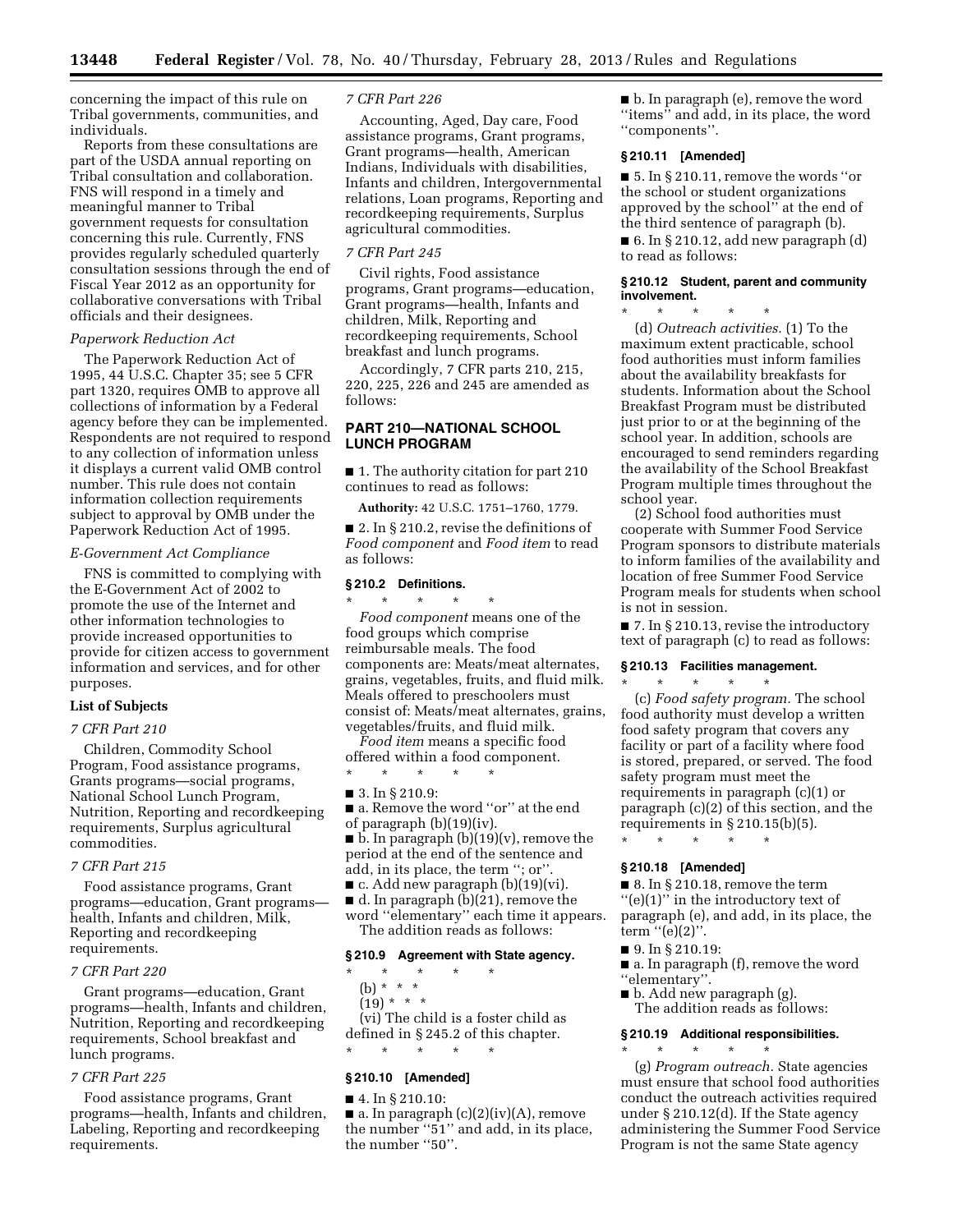concerning the impact of this rule on Tribal governments, communities, and individuals.

Reports from these consultations are part of the USDA annual reporting on Tribal consultation and collaboration. FNS will respond in a timely and meaningful manner to Tribal government requests for consultation concerning this rule. Currently, FNS provides regularly scheduled quarterly consultation sessions through the end of Fiscal Year 2012 as an opportunity for collaborative conversations with Tribal officials and their designees.

# *Paperwork Reduction Act*

The Paperwork Reduction Act of 1995, 44 U.S.C. Chapter 35; see 5 CFR part 1320, requires OMB to approve all collections of information by a Federal agency before they can be implemented. Respondents are not required to respond to any collection of information unless it displays a current valid OMB control number. This rule does not contain information collection requirements subject to approval by OMB under the Paperwork Reduction Act of 1995.

## *E-Government Act Compliance*

FNS is committed to complying with the E-Government Act of 2002 to promote the use of the Internet and other information technologies to provide increased opportunities to provide for citizen access to government information and services, and for other purposes.

## **List of Subjects**

## *7 CFR Part 210*

Children, Commodity School Program, Food assistance programs, Grants programs—social programs, National School Lunch Program, Nutrition, Reporting and recordkeeping requirements, Surplus agricultural commodities.

#### *7 CFR Part 215*

Food assistance programs, Grant programs—education, Grant programs health, Infants and children, Milk, Reporting and recordkeeping requirements.

#### *7 CFR Part 220*

Grant programs—education, Grant programs—health, Infants and children, Nutrition, Reporting and recordkeeping requirements, School breakfast and lunch programs.

#### *7 CFR Part 225*

Food assistance programs, Grant programs—health, Infants and children, Labeling, Reporting and recordkeeping requirements.

## *7 CFR Part 226*

Accounting, Aged, Day care, Food assistance programs, Grant programs, Grant programs—health, American Indians, Individuals with disabilities, Infants and children, Intergovernmental relations, Loan programs, Reporting and recordkeeping requirements, Surplus agricultural commodities.

## *7 CFR Part 245*

Civil rights, Food assistance programs, Grant programs—education, Grant programs—health, Infants and children, Milk, Reporting and recordkeeping requirements, School breakfast and lunch programs.

Accordingly, 7 CFR parts 210, 215, 220, 225, 226 and 245 are amended as follows:

# **PART 210—NATIONAL SCHOOL LUNCH PROGRAM**

■ 1. The authority citation for part 210 continues to read as follows:

**Authority:** 42 U.S.C. 1751–1760, 1779.

■ 2. In § 210.2, revise the definitions of *Food component* and *Food item* to read as follows:

# **§ 210.2 Definitions.**

\* \* \* \* \* *Food component* means one of the food groups which comprise reimbursable meals. The food components are: Meats/meat alternates, grains, vegetables, fruits, and fluid milk. Meals offered to preschoolers must consist of: Meats/meat alternates, grains, vegetables/fruits, and fluid milk.

*Food item* means a specific food offered within a food component.

■ 3. In § 210.9:

\* \* \* \* \*

- a. Remove the word "or" at the end of paragraph (b)(19)(iv). ■ b. In paragraph (b)(19)(v), remove the period at the end of the sentence and add, in its place, the term "; or"  $\blacksquare$  c. Add new paragraph (b)(19)(vi).
- 

 $\blacksquare$  d. In paragraph (b)(21), remove the word ''elementary'' each time it appears. The addition reads as follows:

## **§ 210.9 Agreement with State agency.**

- \* \* \* \* \*
- (b) \* \* \*
- $(19) * * * *$

(vi) The child is a foster child as defined in § 245.2 of this chapter. \* \* \* \* \*

## **§ 210.10 [Amended]**

# ■ 4. In § 210.10:

 $\blacksquare$  a. In paragraph  $(c)(2)(iv)(A)$ , remove the number ''51'' and add, in its place, the number "50".

■ b. In paragraph (e), remove the word ''items'' and add, in its place, the word ''components''.

# **§ 210.11 [Amended]**

 $\blacksquare$  5. In § 210.11, remove the words "or the school or student organizations approved by the school'' at the end of the third sentence of paragraph (b).

 $\blacksquare$  6. In § 210.12, add new paragraph (d) to read as follows:

## **§ 210.12 Student, parent and community involvement.**

\* \* \* \* \* (d) *Outreach activities.* (1) To the maximum extent practicable, school food authorities must inform families about the availability breakfasts for students. Information about the School Breakfast Program must be distributed just prior to or at the beginning of the school year. In addition, schools are encouraged to send reminders regarding the availability of the School Breakfast Program multiple times throughout the school year.

(2) School food authorities must cooperate with Summer Food Service Program sponsors to distribute materials to inform families of the availability and location of free Summer Food Service Program meals for students when school is not in session.

■ 7. In § 210.13, revise the introductory text of paragraph (c) to read as follows:

## **§ 210.13 Facilities management.**

\* \* \* \* \* (c) *Food safety program.* The school food authority must develop a written food safety program that covers any facility or part of a facility where food is stored, prepared, or served. The food safety program must meet the requirements in paragraph (c)(1) or paragraph (c)(2) of this section, and the requirements in § 210.15(b)(5).

\* \* \* \* \*

# **§ 210.18 [Amended]**

 $\blacksquare$  8. In § 210.18, remove the term ''(e)(1)'' in the introductory text of paragraph (e), and add, in its place, the term " $(e)(2)$ ".

- 9. In § 210.19:
- a. In paragraph (f), remove the word ''elementary''.
- b. Add new paragraph (g). The addition reads as follows:

## **§ 210.19 Additional responsibilities.**

 $\star$   $\qquad$   $\star$   $\qquad$   $\star$ (g) *Program outreach.* State agencies must ensure that school food authorities conduct the outreach activities required under § 210.12(d). If the State agency administering the Summer Food Service Program is not the same State agency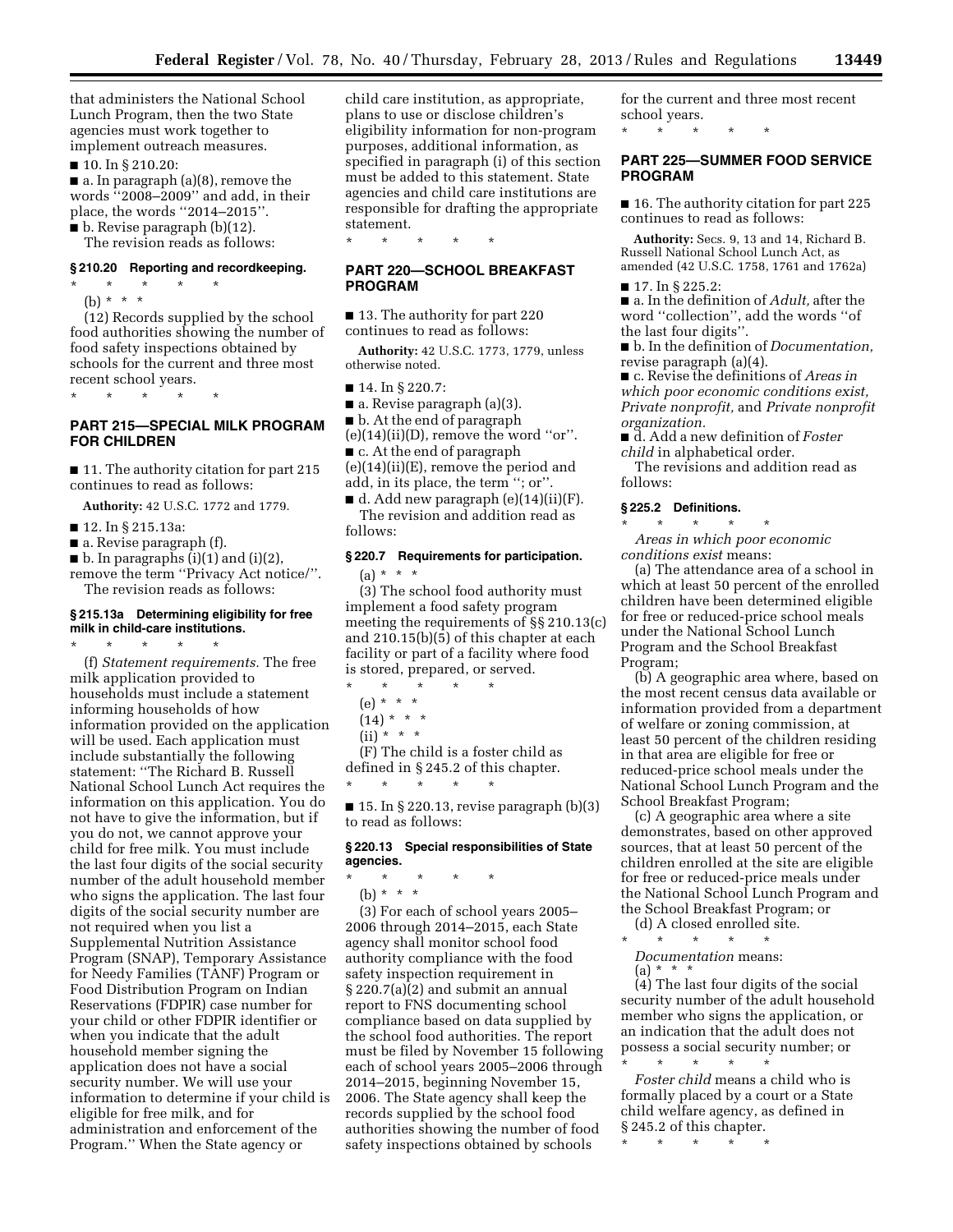that administers the National School Lunch Program, then the two State agencies must work together to implement outreach measures.

■ 10. In § 210.20:

■ a. In paragraph (a)(8), remove the words ''2008–2009'' and add, in their place, the words ''2014–2015''.

■ b. Revise paragraph (b)(12).

The revision reads as follows:

# **§ 210.20 Reporting and recordkeeping.**

\* \* \* \* \* (b) \* \* \*

(12) Records supplied by the school food authorities showing the number of food safety inspections obtained by schools for the current and three most recent school years.

\* \* \* \* \*

# **PART 215—SPECIAL MILK PROGRAM FOR CHILDREN**

■ 11. The authority citation for part 215 continues to read as follows:

**Authority:** 42 U.S.C. 1772 and 1779.

- 12. In § 215.13a:
- a. Revise paragraph (f).
- $\blacksquare$  b. In paragraphs (i)(1) and (i)(2),

remove the term ''Privacy Act notice/''. The revision reads as follows:

# **§ 215.13a Determining eligibility for free milk in child-care institutions.**

\* \* \* \* \* (f) *Statement requirements.* The free milk application provided to households must include a statement informing households of how information provided on the application will be used. Each application must include substantially the following statement: ''The Richard B. Russell National School Lunch Act requires the information on this application. You do not have to give the information, but if you do not, we cannot approve your child for free milk. You must include the last four digits of the social security number of the adult household member who signs the application. The last four digits of the social security number are not required when you list a Supplemental Nutrition Assistance Program (SNAP), Temporary Assistance for Needy Families (TANF) Program or Food Distribution Program on Indian Reservations (FDPIR) case number for your child or other FDPIR identifier or when you indicate that the adult household member signing the application does not have a social security number. We will use your information to determine if your child is eligible for free milk, and for administration and enforcement of the Program.'' When the State agency or

child care institution, as appropriate, plans to use or disclose children's eligibility information for non-program purposes, additional information, as specified in paragraph (i) of this section must be added to this statement. State agencies and child care institutions are responsible for drafting the appropriate statement.

\* \* \* \* \*

# **PART 220—SCHOOL BREAKFAST PROGRAM**

■ 13. The authority for part 220 continues to read as follows:

**Authority:** 42 U.S.C. 1773, 1779, unless otherwise noted.

■ 14. In § 220.7:

 $\blacksquare$  a. Revise paragraph (a)(3).

■ b. At the end of paragraph

 $(e)(14)(ii)(D)$ , remove the word "or". ■ c. At the end of paragraph

(e)(14)(ii)(E), remove the period and add, in its place, the term ''; or''.

 $\blacksquare$  d. Add new paragraph (e)(14)(ii)(F). The revision and addition read as follows:

# **§ 220.7 Requirements for participation.**

 $(a) * * * *$ 

(3) The school food authority must implement a food safety program meeting the requirements of §§ 210.13(c) and 210.15(b)(5) of this chapter at each facility or part of a facility where food is stored, prepared, or served.

- \* \* \* \* \*
- (e) \* \* \*
- $(14) * * * *$
- $(ii) * * * *$

(F) The child is a foster child as defined in § 245.2 of this chapter. \* \* \* \* \*

■ 15. In § 220.13, revise paragraph (b)(3) to read as follows:

# **§ 220.13 Special responsibilities of State agencies.**

\* \* \* \* \* (b) \* \* \*

(3) For each of school years 2005– 2006 through 2014–2015, each State agency shall monitor school food authority compliance with the food safety inspection requirement in § 220.7(a)(2) and submit an annual report to FNS documenting school compliance based on data supplied by the school food authorities. The report must be filed by November 15 following each of school years 2005–2006 through 2014–2015, beginning November 15, 2006. The State agency shall keep the records supplied by the school food authorities showing the number of food safety inspections obtained by schools

for the current and three most recent school years.

\* \* \* \* \*

# **PART 225—SUMMER FOOD SERVICE PROGRAM**

■ 16. The authority citation for part 225 continues to read as follows:

**Authority:** Secs. 9, 13 and 14, Richard B. Russell National School Lunch Act, as amended (42 U.S.C. 1758, 1761 and 1762a)

■ 17. In § 225.2:

■ a. In the definition of *Adult*, after the word ''collection'', add the words ''of the last four digits''.

■ b. In the definition of *Documentation,*  revise paragraph (a)(4).

■ c. Revise the definitions of *Areas in which poor economic conditions exist, Private nonprofit,* and *Private nonprofit organization.* 

■ d. Add a new definition of *Foster child* in alphabetical order.

The revisions and addition read as follows:

#### **§ 225.2 Definitions.**

*Areas in which poor economic conditions exist* means:

\* \* \* \* \*

(a) The attendance area of a school in which at least 50 percent of the enrolled children have been determined eligible for free or reduced-price school meals under the National School Lunch Program and the School Breakfast Program;

(b) A geographic area where, based on the most recent census data available or information provided from a department of welfare or zoning commission, at least 50 percent of the children residing in that area are eligible for free or reduced-price school meals under the National School Lunch Program and the School Breakfast Program;

(c) A geographic area where a site demonstrates, based on other approved sources, that at least 50 percent of the children enrolled at the site are eligible for free or reduced-price meals under the National School Lunch Program and the School Breakfast Program; or

(d) A closed enrolled site. \* \* \* \* \*

*Documentation* means:  $(a) * * * *$ 

(4) The last four digits of the social security number of the adult household member who signs the application, or an indication that the adult does not possess a social security number; or \* \* \* \* \*

*Foster child* means a child who is formally placed by a court or a State child welfare agency, as defined in § 245.2 of this chapter.

\* \* \* \* \*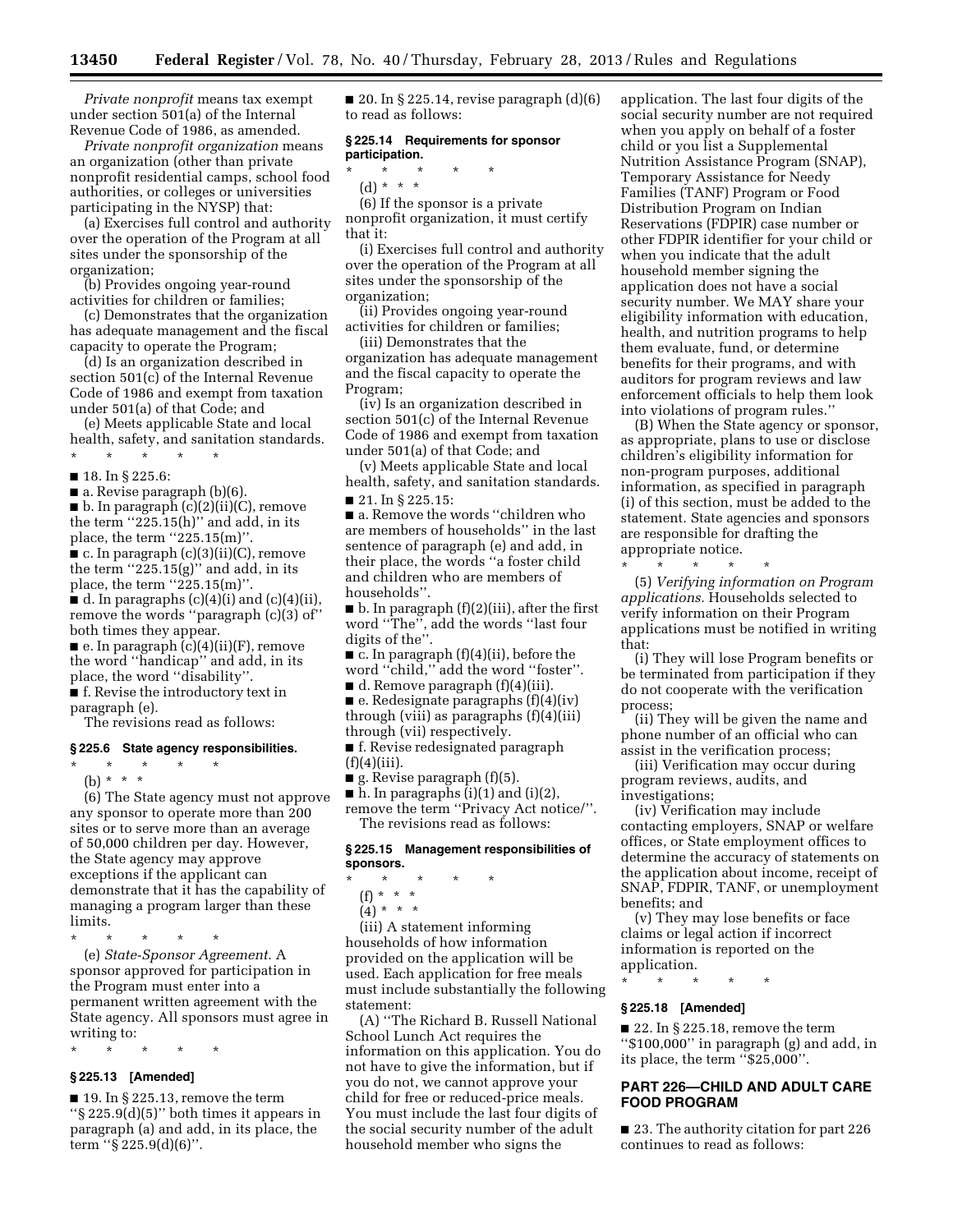*Private nonprofit* means tax exempt under section 501(a) of the Internal Revenue Code of 1986, as amended.

*Private nonprofit organization* means an organization (other than private nonprofit residential camps, school food authorities, or colleges or universities participating in the NYSP) that:

(a) Exercises full control and authority over the operation of the Program at all sites under the sponsorship of the organization;

(b) Provides ongoing year-round activities for children or families;

(c) Demonstrates that the organization has adequate management and the fiscal capacity to operate the Program;

(d) Is an organization described in section 501(c) of the Internal Revenue Code of 1986 and exempt from taxation under 501(a) of that Code; and

(e) Meets applicable State and local health, safety, and sanitation standards.

\* \* \* \* \*

■ 18. In § 225.6:

 $\blacksquare$  a. Revise paragraph (b)(6).

 $\blacksquare$  b. In paragraph  $(c)(2)(ii)(C)$ , remove

the term ''225.15(h)'' and add, in its

place, the term  $"225.15(m)"$ .

■ c. In paragraph (c)(3)(ii)(C), remove the term  $"225.15(g)"$  and add, in its

place, the term ''225.15(m)''.  $\blacksquare$  d. In paragraphs (c)(4)(i) and (c)(4)(ii), remove the words ''paragraph (c)(3) of'' both times they appear.

■ e. In paragraph (c)(4)(ii)(F), remove the word ''handicap'' and add, in its place, the word ''disability''.

■ f. Revise the introductory text in paragraph (e).

The revisions read as follows:

## **§ 225.6 State agency responsibilities.**

\* \* \* \* \*

(b) \* \* \* (6) The State agency must not approve any sponsor to operate more than 200 sites or to serve more than an average of 50,000 children per day. However, the State agency may approve exceptions if the applicant can demonstrate that it has the capability of managing a program larger than these limits.

\* \* \* \* \*

(e) *State-Sponsor Agreement.* A sponsor approved for participation in the Program must enter into a permanent written agreement with the State agency. All sponsors must agree in writing to:

\* \* \* \* \*

# **§ 225.13 [Amended]**

 $\blacksquare$  19. In § 225.13, remove the term ''§ 225.9(d)(5)'' both times it appears in paragraph (a) and add, in its place, the term ''§ 225.9(d)(6)''.

 $\blacksquare$  20. In § 225.14, revise paragraph  $(d)(6)$ to read as follows:

## **§ 225.14 Requirements for sponsor participation.**

\* \* \* \* \* (d) \* \* \*

(6) If the sponsor is a private nonprofit organization, it must certify that it:

(i) Exercises full control and authority over the operation of the Program at all sites under the sponsorship of the organization;

(ii) Provides ongoing year-round activities for children or families;

(iii) Demonstrates that the organization has adequate management and the fiscal capacity to operate the Program;

(iv) Is an organization described in section 501(c) of the Internal Revenue Code of 1986 and exempt from taxation under 501(a) of that Code; and

(v) Meets applicable State and local health, safety, and sanitation standards. ■ 21. In § 225.15:

■ a. Remove the words "children who are members of households'' in the last sentence of paragraph (e) and add, in their place, the words ''a foster child and children who are members of households''.

 $\blacksquare$  b. In paragraph  $(f)(2)(iii)$ , after the first word ''The'', add the words ''last four digits of the''.

 $\blacksquare$  c. In paragraph (f)(4)(ii), before the word ''child,'' add the word ''foster''.

 $\blacksquare$  d. Remove paragraph (f)(4)(iii).

■ e. Redesignate paragraphs (f)(4)(iv) through (viii) as paragraphs (f)(4)(iii) through (vii) respectively. ■ f. Revise redesignated paragraph

 $(f)(4)(iii)$ .

■ g. Revise paragraph (f)(5).

 $\blacksquare$  h. In paragraphs (i)(1) and (i)(2), remove the term ''Privacy Act notice/''. The revisions read as follows:

## **§ 225.15 Management responsibilities of sponsors.**

- \* \* \* \* \*
	- (f) \* \* \*
	- $(4) * * * *$

(iii) A statement informing households of how information provided on the application will be used. Each application for free meals must include substantially the following statement:

(A) ''The Richard B. Russell National School Lunch Act requires the information on this application. You do not have to give the information, but if you do not, we cannot approve your child for free or reduced-price meals. You must include the last four digits of the social security number of the adult household member who signs the

application. The last four digits of the social security number are not required when you apply on behalf of a foster child or you list a Supplemental Nutrition Assistance Program (SNAP), Temporary Assistance for Needy Families (TANF) Program or Food Distribution Program on Indian Reservations (FDPIR) case number or other FDPIR identifier for your child or when you indicate that the adult household member signing the application does not have a social security number. We MAY share your eligibility information with education, health, and nutrition programs to help them evaluate, fund, or determine benefits for their programs, and with auditors for program reviews and law enforcement officials to help them look into violations of program rules.''

(B) When the State agency or sponsor, as appropriate, plans to use or disclose children's eligibility information for non-program purposes, additional information, as specified in paragraph (i) of this section, must be added to the statement. State agencies and sponsors are responsible for drafting the appropriate notice. \* \* \* \* \*

(5) *Verifying information on Program applications.* Households selected to verify information on their Program applications must be notified in writing that:

(i) They will lose Program benefits or be terminated from participation if they do not cooperate with the verification process;

(ii) They will be given the name and phone number of an official who can assist in the verification process;

(iii) Verification may occur during program reviews, audits, and investigations;

(iv) Verification may include contacting employers, SNAP or welfare offices, or State employment offices to determine the accuracy of statements on the application about income, receipt of SNAP, FDPIR, TANF, or unemployment benefits; and

(v) They may lose benefits or face claims or legal action if incorrect information is reported on the application.

\* \* \* \* \*

# **§ 225.18 [Amended]**

 $\blacksquare$  22. In § 225.18, remove the term ''\$100,000'' in paragraph (g) and add, in its place, the term ''\$25,000''.

# **PART 226—CHILD AND ADULT CARE FOOD PROGRAM**

■ 23. The authority citation for part 226 continues to read as follows: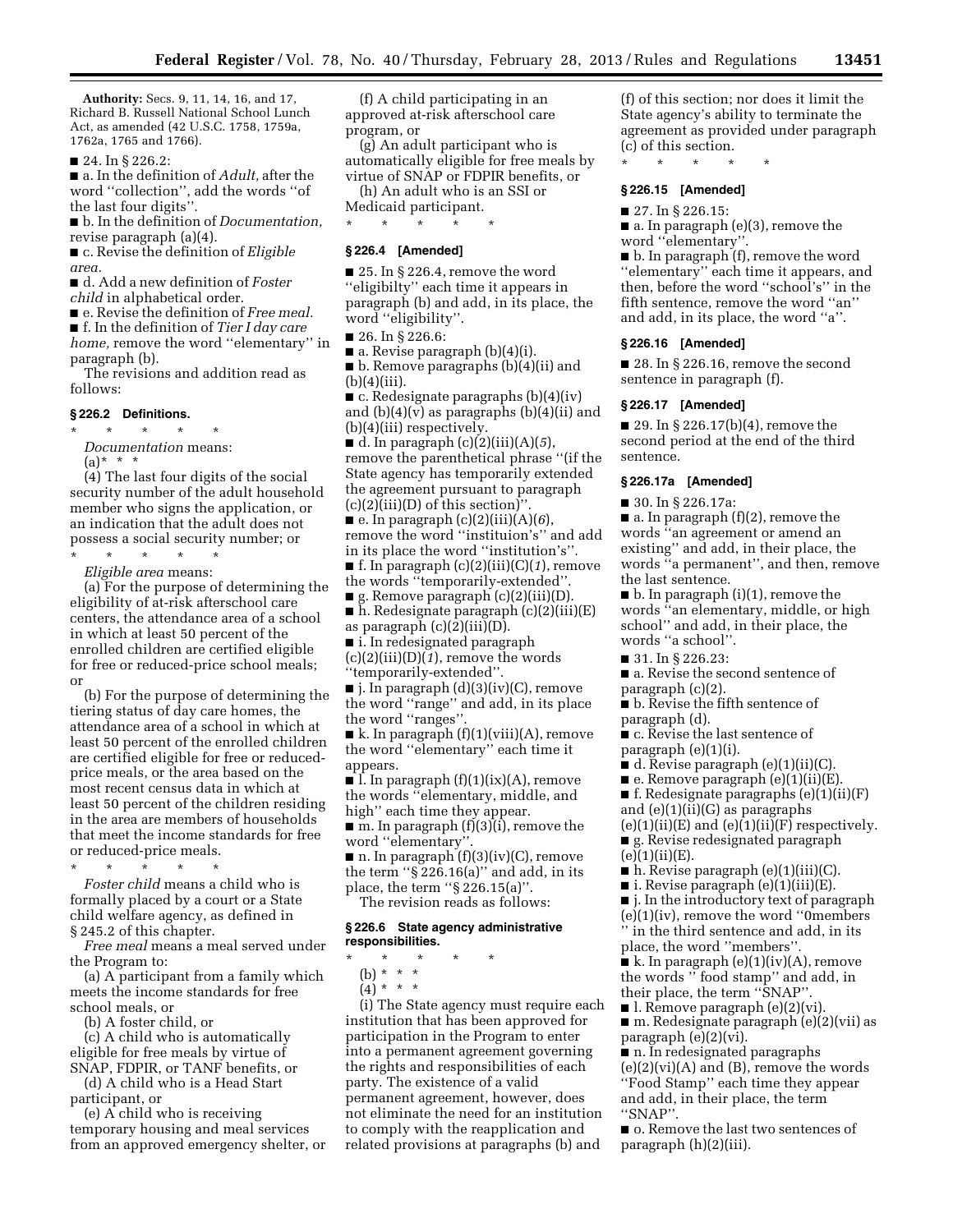**Authority:** Secs. 9, 11, 14, 16, and 17, Richard B. Russell National School Lunch Act, as amended (42 U.S.C. 1758, 1759a, 1762a, 1765 and 1766).

■ 24. In § 226.2:

■ a. In the definition of *Adult,* after the word ''collection'', add the words ''of the last four digits''.

■ b. In the definition of *Documentation,*  revise paragraph (a)(4).

■ c. Revise the definition of *Eligible area.* 

■ d. Add a new definition of *Foster* 

*child* in alphabetical order.

■ e. Revise the definition of *Free meal.* 

■ f. In the definition of *Tier I day care home,* remove the word ''elementary'' in paragraph (b).

The revisions and addition read as follows:

#### **§ 226.2 Definitions.**

\* \* \* \* \* *Documentation* means:  $(a) * * * *$ 

(4) The last four digits of the social security number of the adult household member who signs the application, or an indication that the adult does not possess a social security number; or

\* \* \* \* \* *Eligible area* means:

(a) For the purpose of determining the eligibility of at-risk afterschool care centers, the attendance area of a school in which at least 50 percent of the enrolled children are certified eligible for free or reduced-price school meals; or

(b) For the purpose of determining the tiering status of day care homes, the attendance area of a school in which at least 50 percent of the enrolled children are certified eligible for free or reducedprice meals, or the area based on the most recent census data in which at least 50 percent of the children residing in the area are members of households that meet the income standards for free or reduced-price meals.

\* \* \* \* \*

*Foster child* means a child who is formally placed by a court or a State child welfare agency, as defined in § 245.2 of this chapter.

*Free meal* means a meal served under the Program to:

(a) A participant from a family which meets the income standards for free school meals, or

(b) A foster child, or

(c) A child who is automatically eligible for free meals by virtue of SNAP, FDPIR, or TANF benefits, or

(d) A child who is a Head Start participant, or

(e) A child who is receiving temporary housing and meal services from an approved emergency shelter, or

(f) A child participating in an approved at-risk afterschool care program, or

(g) An adult participant who is automatically eligible for free meals by virtue of SNAP or FDPIR benefits, or

(h) An adult who is an SSI or Medicaid participant.

\* \* \* \* \*

# **§ 226.4 [Amended]**

 $\blacksquare$  25. In § 226.4, remove the word ''eligibilty'' each time it appears in paragraph (b) and add, in its place, the word ''eligibility''.

■ 26. In § 226.6:

 $\blacksquare$  a. Revise paragraph (b)(4)(i).

■ b. Remove paragraphs (b)(4)(ii) and  $(b)(4)(iii)$ .

■ c. Redesignate paragraphs (b)(4)(iv) and  $(b)(4)(v)$  as paragraphs  $(b)(4)(ii)$  and (b)(4)(iii) respectively.

 $\blacksquare$  d. In paragraph  $(c)(2)(iii)(A)(5)$ , remove the parenthetical phrase ''(if the State agency has temporarily extended the agreement pursuant to paragraph  $(c)(2)(iii)(D)$  of this section)".

 $\blacksquare$  e. In paragraph (c)(2)(iii)(A)(6), remove the word ''instituion's'' and add in its place the word ''institution's''. ■ f. In paragraph (c)(2)(iii)(C)(*1*), remove

the words ''temporarily-extended''.

■ g. Remove paragraph (c)(2)(iii)(D). ■ h. Redesignate paragraph (c)(2)(iii)(E)

as paragraph  $(c)(2)(iii)(D)$ .

■ i. In redesignated paragraph

(c)(2)(iii)(D)(*1*), remove the words ''temporarily-extended''.

■ j. In paragraph (d)(3)(iv)(C), remove the word ''range'' and add, in its place the word ''ranges''.

 $\blacksquare$  k. In paragraph  $(f)(1)(viii)(A)$ , remove the word ''elementary'' each time it appears.

■ l. In paragraph  $(f)(1)(ix)(A)$ , remove the words ''elementary, middle, and high" each time they appear.

■ m. In paragraph (f)(3)(i), remove the word ''elementary''.

 $\blacksquare$  n. In paragraph  $(f)(3)(iv)(C)$ , remove the term ''§ 226.16(a)'' and add, in its place, the term ''§ 226.15(a)''. The revision reads as follows:

## **§ 226.6 State agency administrative responsibilities.**

- \* \* \* \* \*
- (b) \* \* \*
- $(4) * * * *$

(i) The State agency must require each institution that has been approved for participation in the Program to enter into a permanent agreement governing the rights and responsibilities of each party. The existence of a valid permanent agreement, however, does not eliminate the need for an institution to comply with the reapplication and related provisions at paragraphs (b) and

(f) of this section; nor does it limit the State agency's ability to terminate the agreement as provided under paragraph (c) of this section.

\* \* \* \* \*

# **§ 226.15 [Amended]**

■ 27. In § 226.15:

■ a. In paragraph (e)(3), remove the word ''elementary''.

■ b. In paragraph (f), remove the word ''elementary'' each time it appears, and then, before the word ''school's'' in the fifth sentence, remove the word ''an'' and add, in its place, the word ''a''.

#### **§ 226.16 [Amended]**

■ 28. In § 226.16, remove the second sentence in paragraph (f).

#### **§ 226.17 [Amended]**

■ 29. In § 226.17(b)(4), remove the second period at the end of the third sentence.

#### **§ 226.17a [Amended]**

■ 30. In § 226.17a:

 $\blacksquare$  a. In paragraph (f)(2), remove the words ''an agreement or amend an existing'' and add, in their place, the words ''a permanent'', and then, remove the last sentence.

■ b. In paragraph (i)(1), remove the words ''an elementary, middle, or high school'' and add, in their place, the words ''a school''.

■ 31. In § 226.23:

■ a. Revise the second sentence of paragraph (c)(2).

■ b. Revise the fifth sentence of paragraph (d).

■ c. Revise the last sentence of paragraph (e)(1)(i).

- $\blacksquare$  d. Revise paragraph (e)(1)(ii)(C).
- $\blacksquare$  e. Remove paragraph  $(e)(1)(ii)(E)$ .

 $\blacksquare$  f. Redesignate paragraphs (e)(1)(ii)(F) and (e)(1)(ii)(G) as paragraphs

 $(e)(1)(ii)(E)$  and  $(e)(1)(ii)(F)$  respectively. ■ g. Revise redesignated paragraph

 $(e)(1)(ii)(E).$ 

 $\blacksquare$  h. Revise paragraph (e)(1)(iii)(C).

■ i. Revise paragraph (e)(1)(iii)(E).

■ *i*. In the introductory text of paragraph (e)(1)(iv), remove the word ''0members

'' in the third sentence and add, in its place, the word ''members''.

 $\blacksquare$  k. In paragraph (e)(1)(iv)(A), remove the words '' food stamp'' and add, in their place, the term ''SNAP''.

■ l. Remove paragraph (e)(2)(vi).

■ m. Redesignate paragraph (e)(2)(vii) as paragraph (e)(2)(vi).

■ n. In redesignated paragraphs (e)(2)(vi)(A) and (B), remove the words ''Food Stamp'' each time they appear and add, in their place, the term ''SNAP''.

■ o. Remove the last two sentences of paragraph (h)(2)(iii).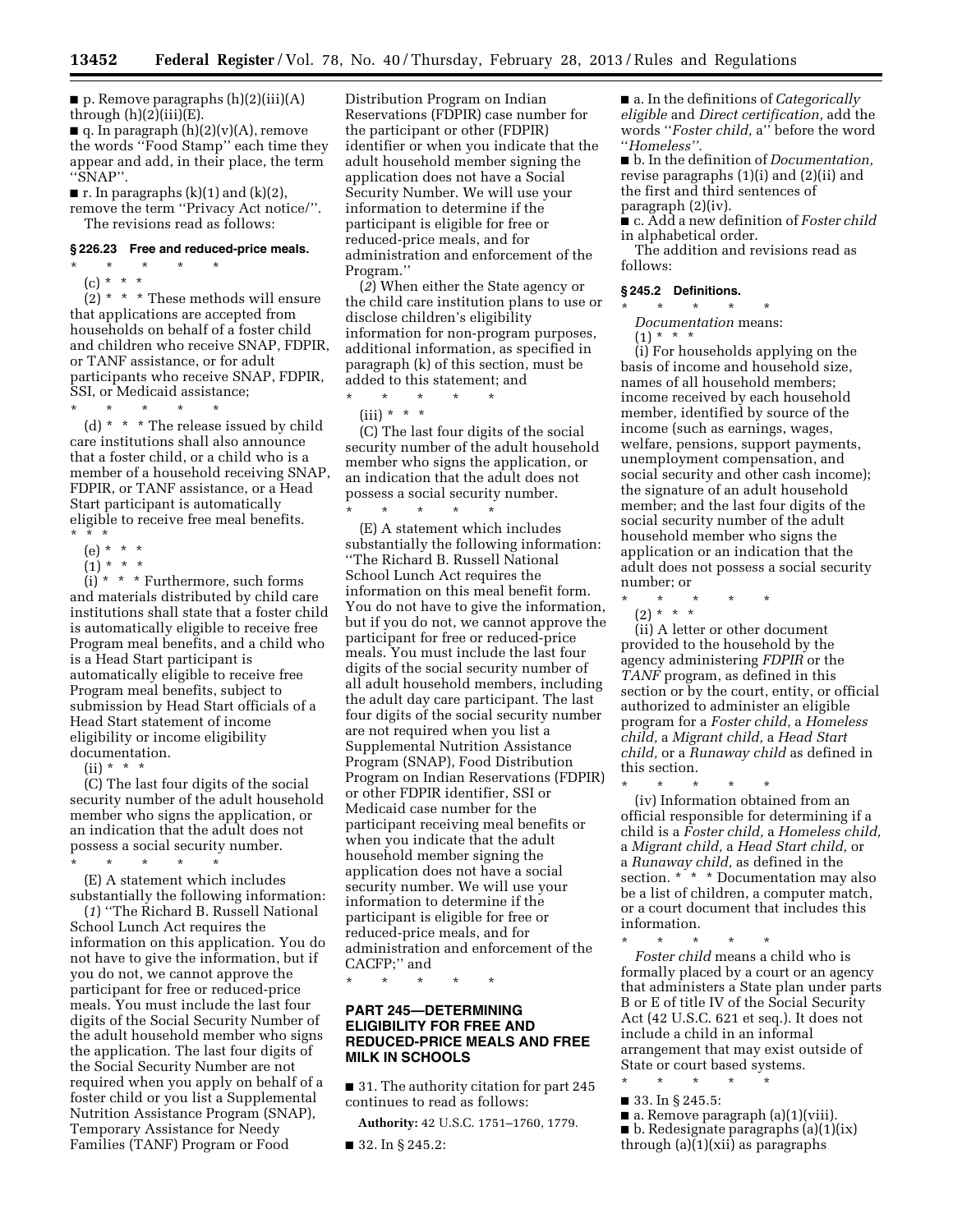■ p. Remove paragraphs (h)(2)(iii)(A) through  $(h)(2)(iii)(E)$ .

 $\blacksquare$  q. In paragraph  $(h)(2)(v)(A)$ , remove the words ''Food Stamp'' each time they appear and add, in their place, the term ''SNAP''.

 $\blacksquare$  r. In paragraphs (k)(1) and (k)(2),

remove the term ''Privacy Act notice/''. The revisions read as follows:

#### **§ 226.23 Free and reduced-price meals.**

\* \* \* \* \* (c) \* \* \*

 $(2)$  \* \* \* These methods will ensure that applications are accepted from households on behalf of a foster child and children who receive SNAP, FDPIR, or TANF assistance, or for adult participants who receive SNAP, FDPIR, SSI, or Medicaid assistance;

 $\star$   $\qquad$   $\star$   $\qquad$   $\star$   $\qquad$   $\star$ 

(d) \* \* \* The release issued by child care institutions shall also announce that a foster child, or a child who is a member of a household receiving SNAP, FDPIR, or TANF assistance, or a Head Start participant is automatically eligible to receive free meal benefits. \* \* \*

- (e) \* \* \*
- $(1) * * * *$

 $(i) * * *$  Furthermore, such forms and materials distributed by child care institutions shall state that a foster child is automatically eligible to receive free Program meal benefits, and a child who is a Head Start participant is automatically eligible to receive free Program meal benefits, subject to submission by Head Start officials of a Head Start statement of income eligibility or income eligibility documentation.

 $(ii) * * * *$ 

(C) The last four digits of the social security number of the adult household member who signs the application, or an indication that the adult does not possess a social security number. \* \* \* \* \*

(E) A statement which includes substantially the following information:

(*1*) ''The Richard B. Russell National School Lunch Act requires the information on this application. You do not have to give the information, but if you do not, we cannot approve the participant for free or reduced-price meals. You must include the last four digits of the Social Security Number of the adult household member who signs the application. The last four digits of the Social Security Number are not required when you apply on behalf of a foster child or you list a Supplemental Nutrition Assistance Program (SNAP), Temporary Assistance for Needy Families (TANF) Program or Food

Distribution Program on Indian Reservations (FDPIR) case number for the participant or other (FDPIR) identifier or when you indicate that the adult household member signing the application does not have a Social Security Number. We will use your information to determine if the participant is eligible for free or reduced-price meals, and for administration and enforcement of the Program.''

(*2*) When either the State agency or the child care institution plans to use or disclose children's eligibility information for non-program purposes, additional information, as specified in paragraph (k) of this section, must be added to this statement; and

- \* \* \* \* \*
	- $(iii) * * * *$

(C) The last four digits of the social security number of the adult household member who signs the application, or an indication that the adult does not possess a social security number.

\* \* \* \* \* (E) A statement which includes substantially the following information: ''The Richard B. Russell National School Lunch Act requires the information on this meal benefit form. You do not have to give the information, but if you do not, we cannot approve the participant for free or reduced-price meals. You must include the last four digits of the social security number of all adult household members, including the adult day care participant. The last four digits of the social security number are not required when you list a Supplemental Nutrition Assistance Program (SNAP), Food Distribution Program on Indian Reservations (FDPIR) or other FDPIR identifier, SSI or Medicaid case number for the participant receiving meal benefits or when you indicate that the adult household member signing the application does not have a social security number. We will use your information to determine if the participant is eligible for free or reduced-price meals, and for administration and enforcement of the CACFP;'' and

\* \* \* \* \*

# **PART 245—DETERMINING ELIGIBILITY FOR FREE AND REDUCED-PRICE MEALS AND FREE MILK IN SCHOOLS**

■ 31. The authority citation for part 245 continues to read as follows:

**Authority:** 42 U.S.C. 1751–1760, 1779.

■ 32. In § 245.2:

■ a. In the definitions of *Categorically eligible* and *Direct certification,* add the words ''*Foster child,* a'' before the word ''*Homeless''.* 

■ b. In the definition of *Documentation,*  revise paragraphs (1)(i) and (2)(ii) and the first and third sentences of paragraph (2)(iv).

■ c. Add a new definition of *Foster child*  in alphabetical order.

The addition and revisions read as follows:

## **§ 245.2 Definitions.**

\* \* \* \* \* *Documentation* means:

 $(1) * * * *$ 

(i) For households applying on the basis of income and household size, names of all household members; income received by each household member, identified by source of the income (such as earnings, wages, welfare, pensions, support payments, unemployment compensation, and social security and other cash income); the signature of an adult household member; and the last four digits of the social security number of the adult household member who signs the application or an indication that the adult does not possess a social security number; or

\* \* \* \* \*  $(2) * * * *$ 

(ii) A letter or other document provided to the household by the agency administering *FDPIR* or the *TANF* program, as defined in this section or by the court, entity, or official authorized to administer an eligible program for a *Foster child,* a *Homeless child,* a *Migrant child,* a *Head Start child,* or a *Runaway child* as defined in this section.

\* \* \* \* \* (iv) Information obtained from an official responsible for determining if a child is a *Foster child,* a *Homeless child,*  a *Migrant child,* a *Head Start child,* or a *Runaway child,* as defined in the section. \* \* \* Documentation may also be a list of children, a computer match, or a court document that includes this information.

\* \* \* \* \* *Foster child* means a child who is formally placed by a court or an agency that administers a State plan under parts B or E of title IV of the Social Security Act (42 U.S.C. 621 et seq.). It does not include a child in an informal arrangement that may exist outside of State or court based systems. \* \* \* \* \*

■ 33. In § 245.5:

■ a. Remove paragraph (a)(1)(viii). ■ b. Redesignate paragraphs (a)(1)(ix) through (a)(1)(xii) as paragraphs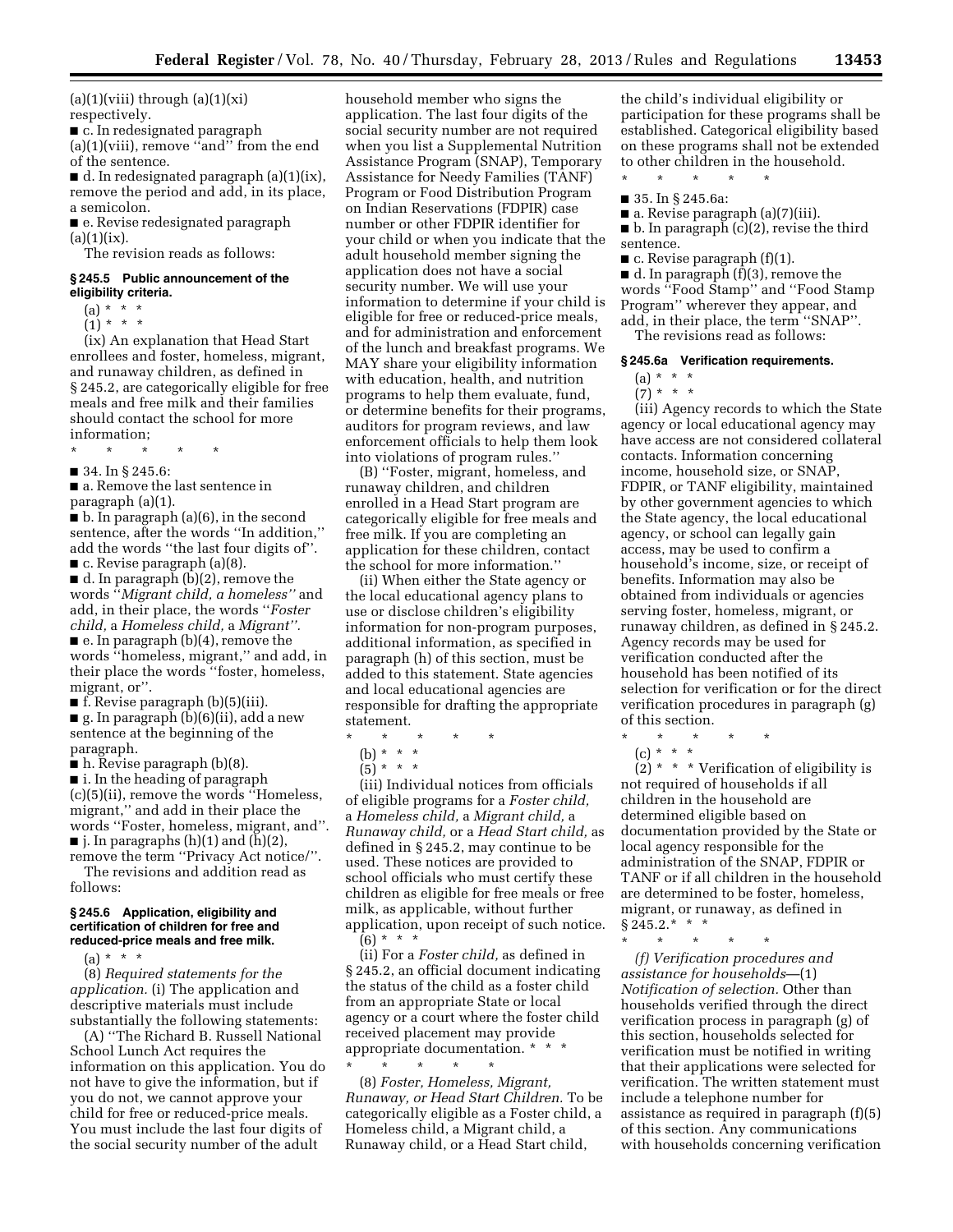$(a)(1)(viii)$  through  $(a)(1)(xi)$ respectively.

■ c. In redesignated paragraph (a)(1)(viii), remove ''and'' from the end of the sentence.

 $\blacksquare$  d. In redesignated paragraph (a)(1)(ix), remove the period and add, in its place, a semicolon.

■ e. Revise redesignated paragraph  $(a)(1)(ix)$ .

The revision reads as follows:

## **§ 245.5 Public announcement of the eligibility criteria.**

- $(a) * * * *$
- $(1) * * * *$

(ix) An explanation that Head Start enrollees and foster, homeless, migrant, and runaway children, as defined in § 245.2, are categorically eligible for free meals and free milk and their families should contact the school for more information;

- \* \* \* \* \*
- 34. In § 245.6:

■ a. Remove the last sentence in paragraph (a)(1).

■ b. In paragraph (a)(6), in the second sentence, after the words ''In addition,'' add the words ''the last four digits of''.  $\blacksquare$  c. Revise paragraph (a)(8).

■ d. In paragraph (b)(2), remove the words ''*Migrant child, a homeless''* and add, in their place, the words ''*Foster child,* a *Homeless child,* a *Migrant''.* 

■ e. In paragraph (b)(4), remove the words ''homeless, migrant,'' and add, in their place the words ''foster, homeless, migrant, or''.

■ f. Revise paragraph (b)(5)(iii).

■ g. In paragraph (b)(6)(ii), add a new sentence at the beginning of the paragraph.

 $\blacksquare$  h. Revise paragraph (b)(8).

■ i. In the heading of paragraph (c)(5)(ii), remove the words ''Homeless, migrant,'' and add in their place the words ''Foster, homeless, migrant, and''.  $\blacksquare$  j. In paragraphs (h)(1) and (h)(2),

remove the term ''Privacy Act notice/''. The revisions and addition read as follows:

## **§ 245.6 Application, eligibility and certification of children for free and reduced-price meals and free milk.**

 $(a) * * * *$ 

(8) *Required statements for the application.* (i) The application and descriptive materials must include substantially the following statements:

(A) ''The Richard B. Russell National School Lunch Act requires the information on this application. You do not have to give the information, but if you do not, we cannot approve your child for free or reduced-price meals. You must include the last four digits of the social security number of the adult

household member who signs the application. The last four digits of the social security number are not required when you list a Supplemental Nutrition Assistance Program (SNAP), Temporary Assistance for Needy Families (TANF) Program or Food Distribution Program on Indian Reservations (FDPIR) case number or other FDPIR identifier for your child or when you indicate that the adult household member signing the application does not have a social security number. We will use your information to determine if your child is eligible for free or reduced-price meals, and for administration and enforcement of the lunch and breakfast programs. We MAY share your eligibility information with education, health, and nutrition programs to help them evaluate, fund, or determine benefits for their programs, auditors for program reviews, and law enforcement officials to help them look into violations of program rules.''

(B) ''Foster, migrant, homeless, and runaway children, and children enrolled in a Head Start program are categorically eligible for free meals and free milk. If you are completing an application for these children, contact the school for more information.''

(ii) When either the State agency or the local educational agency plans to use or disclose children's eligibility information for non-program purposes, additional information, as specified in paragraph (h) of this section, must be added to this statement. State agencies and local educational agencies are responsible for drafting the appropriate statement.

- \* \* \* \* \*
	- (b) \* \* \*
	- (5) \* \* \*

(iii) Individual notices from officials of eligible programs for a *Foster child,*  a *Homeless child,* a *Migrant child,* a *Runaway child,* or a *Head Start child,* as defined in § 245.2, may continue to be used. These notices are provided to school officials who must certify these children as eligible for free meals or free milk, as applicable, without further application, upon receipt of such notice.  $(6) * * * *$ 

(ii) For a *Foster child,* as defined in § 245.2, an official document indicating the status of the child as a foster child from an appropriate State or local agency or a court where the foster child received placement may provide appropriate documentation. \* \* \*

\* \* \* \* \* (8) *Foster, Homeless, Migrant, Runaway, or Head Start Children.* To be categorically eligible as a Foster child, a Homeless child, a Migrant child, a Runaway child, or a Head Start child,

the child's individual eligibility or participation for these programs shall be established. Categorical eligibility based on these programs shall not be extended to other children in the household.

- \* \* \* \* \*
- 35. In § 245.6a:

■ a. Revise paragraph (a)(7)(iii). ■ b. In paragraph (c)(2), revise the third sentence.

 $\blacksquare$  c. Revise paragraph (f)(1).

■ d. In paragraph (f)(3), remove the words ''Food Stamp'' and ''Food Stamp Program'' wherever they appear, and add, in their place, the term ''SNAP''. The revisions read as follows:

# **§ 245.6a Verification requirements.**

 $(a) * *$ 

(7) \* \* \* (iii) Agency records to which the State agency or local educational agency may have access are not considered collateral contacts. Information concerning income, household size, or SNAP, FDPIR, or TANF eligibility, maintained by other government agencies to which the State agency, the local educational agency, or school can legally gain access, may be used to confirm a household's income, size, or receipt of benefits. Information may also be obtained from individuals or agencies serving foster, homeless, migrant, or runaway children, as defined in § 245.2. Agency records may be used for verification conducted after the household has been notified of its selection for verification or for the direct verification procedures in paragraph (g) of this section.

- \* \* \* \* \*
	- $(c) * * * *$

 $(2)$  \* \* \* Verification of eligibility is not required of households if all children in the household are determined eligible based on documentation provided by the State or local agency responsible for the administration of the SNAP, FDPIR or TANF or if all children in the household are determined to be foster, homeless, migrant, or runaway, as defined in  $§245.2.*$  \* \*

\* \* \* \* \*

*(f) Verification procedures and assistance for households*—(1) *Notification of selection.* Other than households verified through the direct verification process in paragraph (g) of this section, households selected for verification must be notified in writing that their applications were selected for verification. The written statement must include a telephone number for assistance as required in paragraph (f)(5) of this section. Any communications with households concerning verification